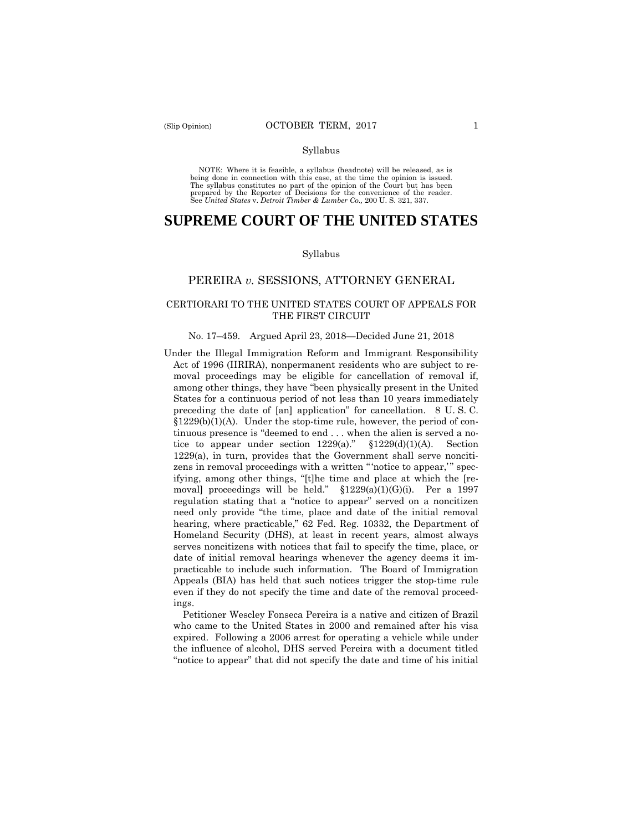NOTE: Where it is feasible, a syllabus (headnote) will be released, as is being done in connection with this case, at the time the opinion is issued. The syllabus constitutes no part of the opinion of the Court but has been<br>prepared by the Reporter of Decisions for the convenience of the reader.<br>See United States v. Detroit Timber & Lumber Co., 200 U.S. 321, 337.

# **SUPREME COURT OF THE UNITED STATES**

#### Syllabus

## PEREIRA *v.* SESSIONS, ATTORNEY GENERAL

### CERTIORARI TO THE UNITED STATES COURT OF APPEALS FOR THE FIRST CIRCUIT

#### No. 17–459. Argued April 23, 2018—Decided June 21, 2018

 Homeland Security (DHS), at least in recent years, almost always practicable to include such information. The Board of Immigration Under the Illegal Immigration Reform and Immigrant Responsibility Act of 1996 (IIRIRA), nonpermanent residents who are subject to removal proceedings may be eligible for cancellation of removal if, among other things, they have "been physically present in the United States for a continuous period of not less than 10 years immediately preceding the date of [an] application" for cancellation. 8 U. S. C. §1229(b)(1)(A). Under the stop-time rule, however, the period of continuous presence is "deemed to end . . . when the alien is served a notice to appear under section 1229(a)." §1229(d)(1)(A). Section 1229(a), in turn, provides that the Government shall serve noncitizens in removal proceedings with a written "'notice to appear,'" specifying, among other things, "[t]he time and place at which the [removal] proceedings will be held."  $$1229(a)(1)(G)(i)$ . Per a 1997 regulation stating that a "notice to appear" served on a noncitizen need only provide "the time, place and date of the initial removal hearing, where practicable," 62 Fed. Reg. 10332, the Department of serves noncitizens with notices that fail to specify the time, place, or date of initial removal hearings whenever the agency deems it im-Appeals (BIA) has held that such notices trigger the stop-time rule even if they do not specify the time and date of the removal proceedings.

Petitioner Wescley Fonseca Pereira is a native and citizen of Brazil who came to the United States in 2000 and remained after his visa expired. Following a 2006 arrest for operating a vehicle while under the influence of alcohol, DHS served Pereira with a document titled "notice to appear" that did not specify the date and time of his initial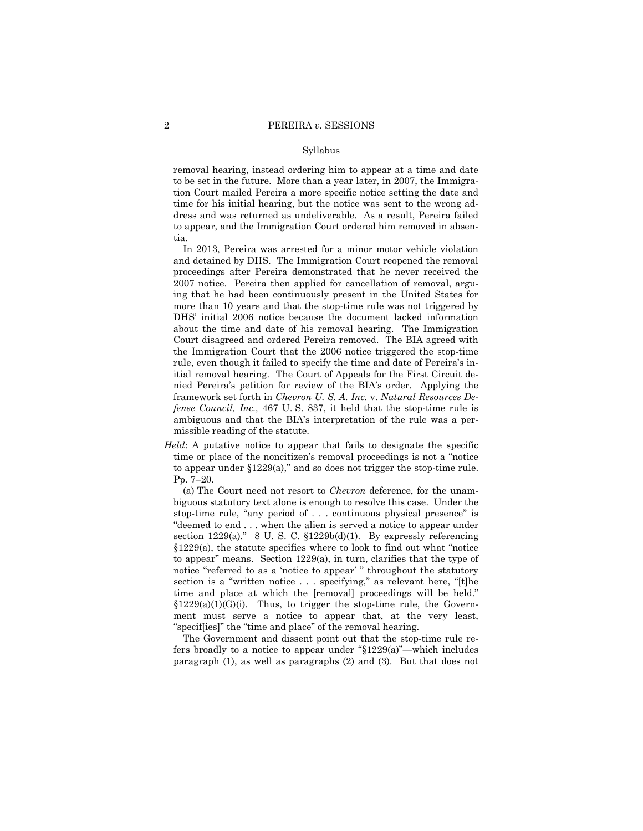removal hearing, instead ordering him to appear at a time and date to be set in the future. More than a year later, in 2007, the Immigration Court mailed Pereira a more specific notice setting the date and time for his initial hearing, but the notice was sent to the wrong address and was returned as undeliverable. As a result, Pereira failed to appear, and the Immigration Court ordered him removed in absentia.

 framework set forth in *Chevron U. S. A. Inc.* v. *Natural Resources De-*In 2013, Pereira was arrested for a minor motor vehicle violation and detained by DHS. The Immigration Court reopened the removal proceedings after Pereira demonstrated that he never received the 2007 notice. Pereira then applied for cancellation of removal, arguing that he had been continuously present in the United States for more than 10 years and that the stop-time rule was not triggered by DHS' initial 2006 notice because the document lacked information about the time and date of his removal hearing. The Immigration Court disagreed and ordered Pereira removed. The BIA agreed with the Immigration Court that the 2006 notice triggered the stop-time rule, even though it failed to specify the time and date of Pereira's initial removal hearing. The Court of Appeals for the First Circuit denied Pereira's petition for review of the BIA's order. Applying the *fense Council, Inc.,* 467 U. S. 837, it held that the stop-time rule is ambiguous and that the BIA's interpretation of the rule was a permissible reading of the statute.

*Held*: A putative notice to appear that fails to designate the specific time or place of the noncitizen's removal proceedings is not a "notice to appear under  $$1229(a)$ ," and so does not trigger the stop-time rule. Pp. 7–20.

(a) The Court need not resort to *Chevron* deference, for the unambiguous statutory text alone is enough to resolve this case. Under the stop-time rule, "any period of . . . continuous physical presence" is "deemed to end . . . when the alien is served a notice to appear under section 1229(a)." 8 U. S. C. §1229b(d)(1). By expressly referencing §1229(a), the statute specifies where to look to find out what "notice to appear" means. Section 1229(a), in turn, clarifies that the type of notice "referred to as a 'notice to appear' " throughout the statutory section is a "written notice . . . specifying," as relevant here, "[t]he time and place at which the [removal] proceedings will be held."  $$1229(a)(1)(G)(i)$ . Thus, to trigger the stop-time rule, the Government must serve a notice to appear that, at the very least, "specif[ies]" the "time and place" of the removal hearing.

The Government and dissent point out that the stop-time rule refers broadly to a notice to appear under "§1229(a)"—which includes paragraph (1), as well as paragraphs (2) and (3). But that does not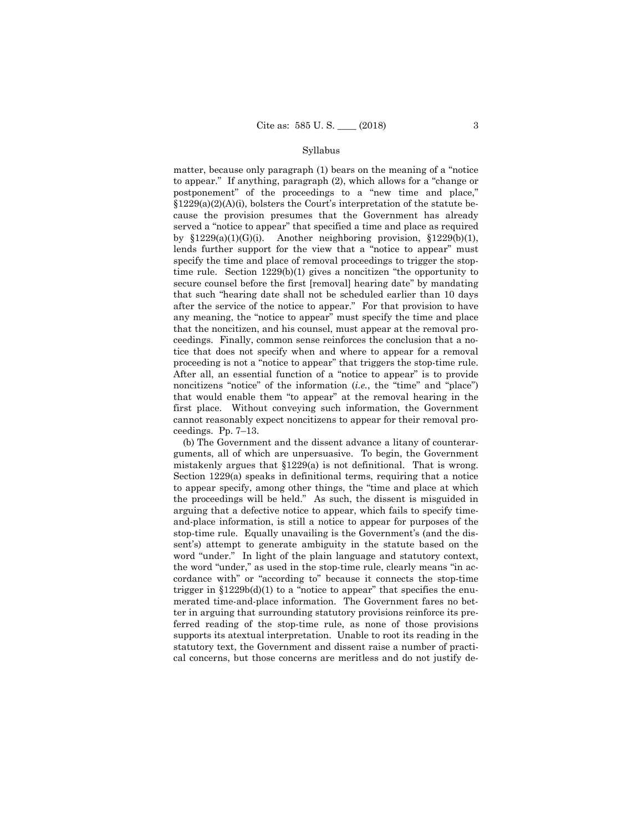tice that does not specify when and where to appear for a removal proceeding is not a "notice to appear" that triggers the stop-time rule. matter, because only paragraph (1) bears on the meaning of a "notice to appear." If anything, paragraph (2), which allows for a "change or postponement" of the proceedings to a "new time and place,"  $\S 1229(a)(2)(A)(i)$ , bolsters the Court's interpretation of the statute because the provision presumes that the Government has already served a "notice to appear" that specified a time and place as required by  $$1229(a)(1)(G)(i)$ . Another neighboring provision,  $$1229(b)(1)$ , lends further support for the view that a "notice to appear" must specify the time and place of removal proceedings to trigger the stoptime rule. Section 1229(b)(1) gives a noncitizen "the opportunity to secure counsel before the first [removal] hearing date" by mandating that such "hearing date shall not be scheduled earlier than 10 days after the service of the notice to appear." For that provision to have any meaning, the "notice to appear" must specify the time and place that the noncitizen, and his counsel, must appear at the removal proceedings. Finally, common sense reinforces the conclusion that a no-After all, an essential function of a "notice to appear" is to provide noncitizens "notice" of the information (*i.e.*, the "time" and "place") that would enable them "to appear" at the removal hearing in the first place. Without conveying such information, the Government cannot reasonably expect noncitizens to appear for their removal proceedings. Pp. 7–13.

(b) The Government and the dissent advance a litany of counterarguments, all of which are unpersuasive. To begin, the Government mistakenly argues that §1229(a) is not definitional. That is wrong. Section 1229(a) speaks in definitional terms, requiring that a notice to appear specify, among other things, the "time and place at which the proceedings will be held." As such, the dissent is misguided in arguing that a defective notice to appear, which fails to specify timeand-place information, is still a notice to appear for purposes of the stop-time rule. Equally unavailing is the Government's (and the dissent's) attempt to generate ambiguity in the statute based on the word "under." In light of the plain language and statutory context, the word "under," as used in the stop-time rule, clearly means "in accordance with" or "according to" because it connects the stop-time trigger in  $$1229b(d)(1)$  to a "notice to appear" that specifies the enumerated time-and-place information. The Government fares no better in arguing that surrounding statutory provisions reinforce its preferred reading of the stop-time rule, as none of those provisions supports its atextual interpretation. Unable to root its reading in the statutory text, the Government and dissent raise a number of practical concerns, but those concerns are meritless and do not justify de-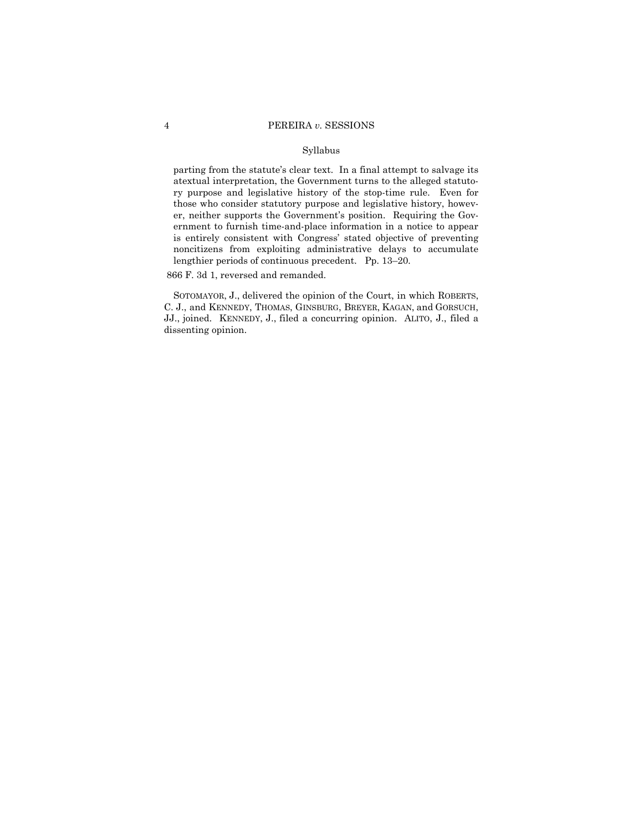parting from the statute's clear text. In a final attempt to salvage its atextual interpretation, the Government turns to the alleged statutory purpose and legislative history of the stop-time rule. Even for those who consider statutory purpose and legislative history, however, neither supports the Government's position. Requiring the Government to furnish time-and-place information in a notice to appear is entirely consistent with Congress' stated objective of preventing noncitizens from exploiting administrative delays to accumulate lengthier periods of continuous precedent. Pp. 13–20.

866 F. 3d 1, reversed and remanded.

 SOTOMAYOR, J., delivered the opinion of the Court, in which ROBERTS, C. J., and KENNEDY, THOMAS, GINSBURG, BREYER, KAGAN, and GORSUCH, JJ., joined. KENNEDY, J., filed a concurring opinion. ALITO, J., filed a dissenting opinion.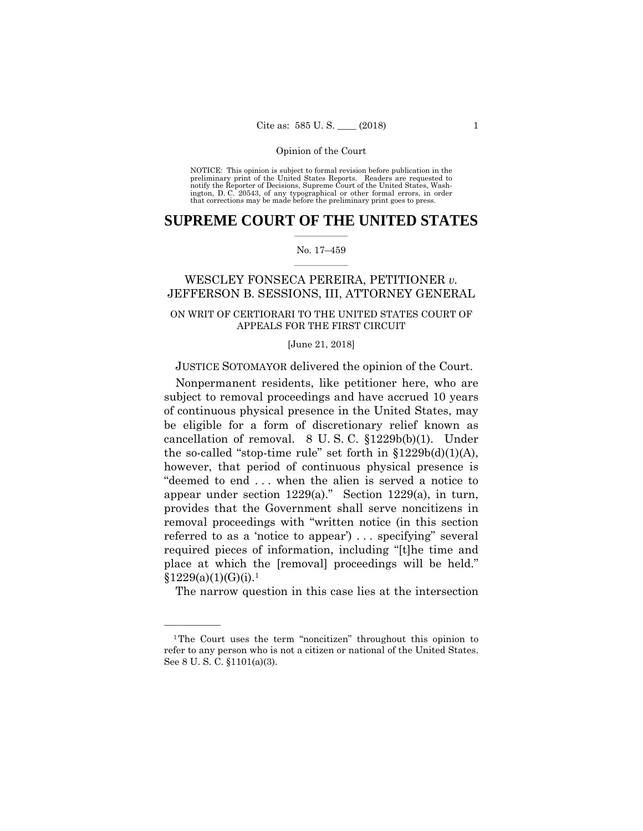preliminary print of the United States Reports. Readers are requested to notify the Reporter of Decisions, Supreme Court of the United States, Wash- ington, D. C. 20543, of any typographical or other formal errors, in order that corrections may be made before the preliminary print goes to press. NOTICE: This opinion is subject to formal revision before publication in the

## $\frac{1}{2}$  ,  $\frac{1}{2}$  ,  $\frac{1}{2}$  ,  $\frac{1}{2}$  ,  $\frac{1}{2}$  ,  $\frac{1}{2}$  ,  $\frac{1}{2}$ **SUPREME COURT OF THE UNITED STATES**

#### $\frac{1}{2}$  ,  $\frac{1}{2}$  ,  $\frac{1}{2}$  ,  $\frac{1}{2}$  ,  $\frac{1}{2}$  ,  $\frac{1}{2}$ No. 17–459

## WESCLEY FONSECA PEREIRA, PETITIONER *v.*  JEFFERSON B. SESSIONS, III, ATTORNEY GENERAL

## ON WRIT OF CERTIORARI TO THE UNITED STATES COURT OF APPEALS FOR THE FIRST CIRCUIT

#### [June 21, 2018]

## JUSTICE SOTOMAYOR delivered the opinion of the Court.

Nonpermanent residents, like petitioner here, who are subject to removal proceedings and have accrued 10 years of continuous physical presence in the United States, may be eligible for a form of discretionary relief known as cancellation of removal. 8 U. S. C. §1229b(b)(1). Under the so-called "stop-time rule" set forth in  $$1229b(d)(1)(A)$ , however, that period of continuous physical presence is "deemed to end . . . when the alien is served a notice to appear under section 1229(a)." Section 1229(a), in turn, provides that the Government shall serve noncitizens in removal proceedings with "written notice (in this section referred to as a 'notice to appear') . . . specifying" several required pieces of information, including "[t]he time and place at which the [removal] proceedings will be held."  $§1229(a)(1)(G)(i).<sup>1</sup>$ 

The narrow question in this case lies at the intersection

<sup>1</sup>The Court uses the term "noncitizen" throughout this opinion to refer to any person who is not a citizen or national of the United States. See 8 U. S. C. §1101(a)(3).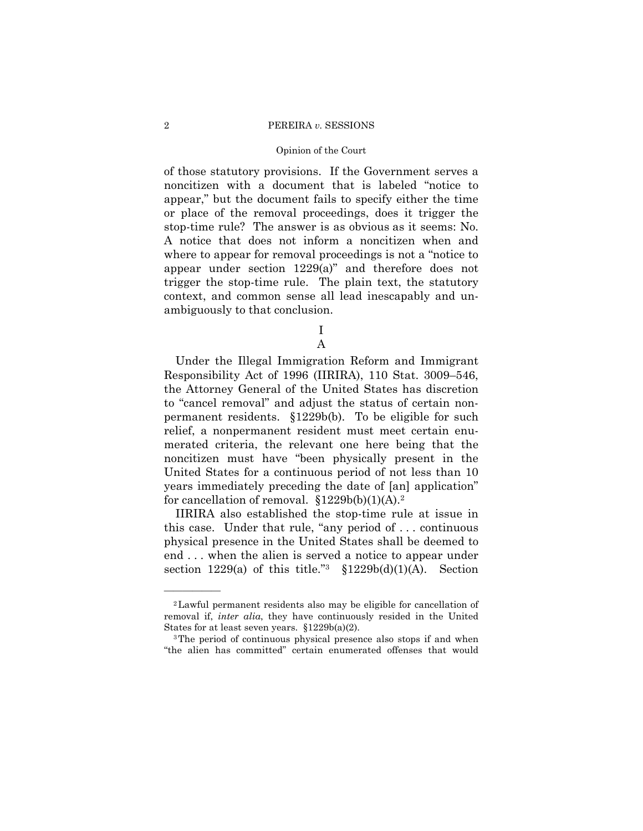#### Opinion of the Court

of those statutory provisions. If the Government serves a noncitizen with a document that is labeled "notice to appear," but the document fails to specify either the time or place of the removal proceedings, does it trigger the stop-time rule? The answer is as obvious as it seems: No. A notice that does not inform a noncitizen when and where to appear for removal proceedings is not a "notice to appear under section 1229(a)" and therefore does not trigger the stop-time rule. The plain text, the statutory context, and common sense all lead inescapably and unambiguously to that conclusion.

> I A

Under the Illegal Immigration Reform and Immigrant Responsibility Act of 1996 (IIRIRA), 110 Stat. 3009–546, the Attorney General of the United States has discretion to "cancel removal" and adjust the status of certain nonpermanent residents. §1229b(b). To be eligible for such relief, a nonpermanent resident must meet certain enumerated criteria, the relevant one here being that the noncitizen must have "been physically present in the United States for a continuous period of not less than 10 years immediately preceding the date of [an] application" for cancellation of removal.  $$1229b(b)(1)(A).<sup>2</sup>$ 

IIRIRA also established the stop-time rule at issue in this case. Under that rule, "any period of . . . continuous physical presence in the United States shall be deemed to end . . . when the alien is served a notice to appear under section 1229(a) of this title."<sup>3</sup>  $$1229b(d)(1)(A)$ . Section

<sup>2</sup>Lawful permanent residents also may be eligible for cancellation of removal if, *inter alia*, they have continuously resided in the United States for at least seven years.  $$1229b(a)(2)$ .<br><sup>3</sup>The period of continuous physical presence also stops if and when

<sup>&</sup>quot;the alien has committed" certain enumerated offenses that would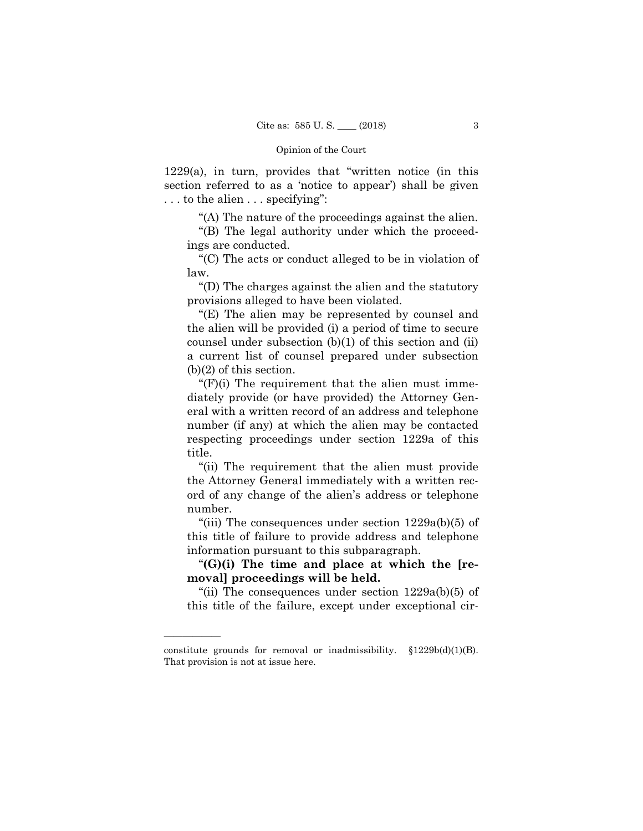1229(a), in turn, provides that "written notice (in this section referred to as a 'notice to appear') shall be given . . . to the alien . . . specifying":

"(A) The nature of the proceedings against the alien.

"(B) The legal authority under which the proceedings are conducted.

"(C) The acts or conduct alleged to be in violation of law.

"(D) The charges against the alien and the statutory provisions alleged to have been violated.

"(E) The alien may be represented by counsel and the alien will be provided (i) a period of time to secure counsel under subsection (b)(1) of this section and (ii) a current list of counsel prepared under subsection (b)(2) of this section.

"(F)(i) The requirement that the alien must immediately provide (or have provided) the Attorney General with a written record of an address and telephone number (if any) at which the alien may be contacted respecting proceedings under section 1229a of this title.

"(ii) The requirement that the alien must provide the Attorney General immediately with a written record of any change of the alien's address or telephone number.

"(iii) The consequences under section 1229a(b)(5) of this title of failure to provide address and telephone information pursuant to this subparagraph.

"**(G)(i) The time and place at which the [removal] proceedings will be held.**

"(ii) The consequences under section  $1229a(b)(5)$  of this title of the failure, except under exceptional cir-

constitute grounds for removal or inadmissibility.  $$1229b(d)(1)(B)$ . That provision is not at issue here.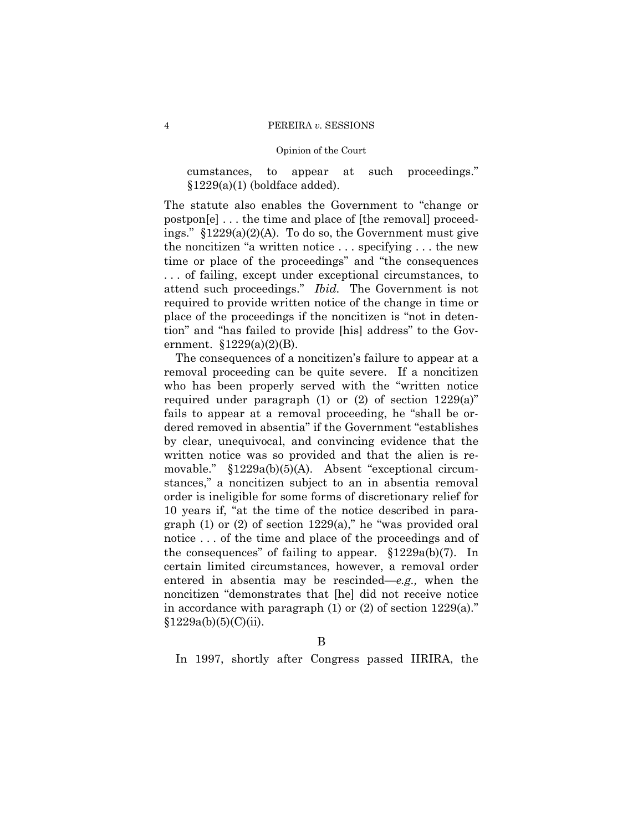cumstances, to appear at such proceedings."  $§1229(a)(1)$  (boldface added).

The statute also enables the Government to "change or postpon[e] . . . the time and place of [the removal] proceedings." §1229(a)(2)(A). To do so, the Government must give the noncitizen "a written notice . . . specifying . . . the new time or place of the proceedings" and "the consequences . . . of failing, except under exceptional circumstances, to attend such proceedings." *Ibid.* The Government is not required to provide written notice of the change in time or place of the proceedings if the noncitizen is "not in detention" and "has failed to provide [his] address" to the Government.  $$1229(a)(2)(B)$ .

The consequences of a noncitizen's failure to appear at a removal proceeding can be quite severe. If a noncitizen who has been properly served with the "written notice required under paragraph  $(1)$  or  $(2)$  of section  $1229(a)$ " fails to appear at a removal proceeding, he "shall be ordered removed in absentia" if the Government "establishes by clear, unequivocal, and convincing evidence that the written notice was so provided and that the alien is removable." §1229a(b)(5)(A). Absent "exceptional circumstances," a noncitizen subject to an in absentia removal order is ineligible for some forms of discretionary relief for 10 years if, "at the time of the notice described in paragraph (1) or (2) of section 1229(a)," he "was provided oral notice . . . of the time and place of the proceedings and of the consequences" of failing to appear. §1229a(b)(7). In certain limited circumstances, however, a removal order entered in absentia may be rescinded—*e.g.,* when the noncitizen "demonstrates that [he] did not receive notice in accordance with paragraph  $(1)$  or  $(2)$  of section  $1229(a)$ ."  $§1229a(b)(5)(C)(ii).$ 

B

In 1997, shortly after Congress passed IIRIRA, the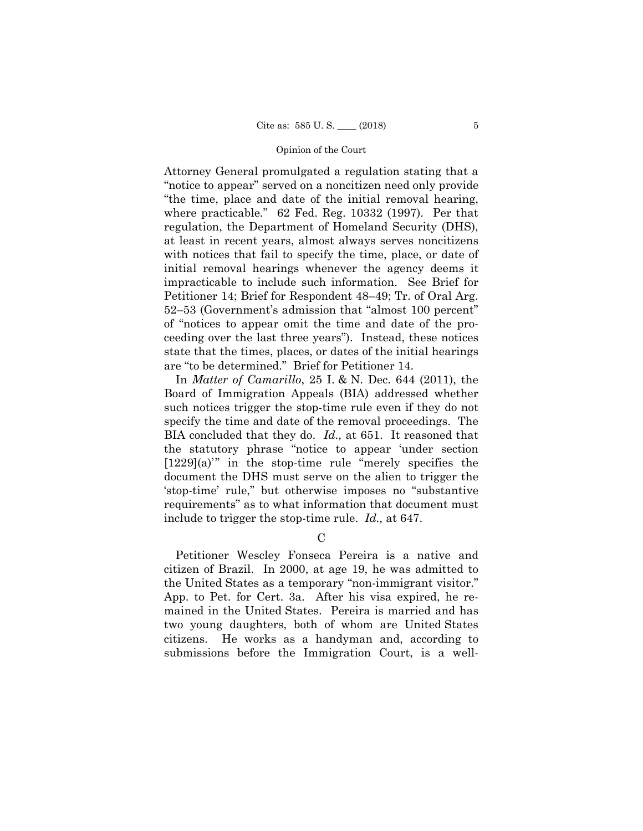Attorney General promulgated a regulation stating that a "notice to appear" served on a noncitizen need only provide "the time, place and date of the initial removal hearing, where practicable*.*" 62 Fed. Reg. 10332 (1997). Per that regulation, the Department of Homeland Security (DHS), at least in recent years, almost always serves noncitizens with notices that fail to specify the time, place, or date of initial removal hearings whenever the agency deems it impracticable to include such information. See Brief for Petitioner 14; Brief for Respondent 48–49; Tr. of Oral Arg. 52–53 (Government's admission that "almost 100 percent" of "notices to appear omit the time and date of the proceeding over the last three years"). Instead, these notices state that the times, places, or dates of the initial hearings are "to be determined." Brief for Petitioner 14.

In *Matter of Camarillo*, 25 I. & N. Dec. 644 (2011), the Board of Immigration Appeals (BIA) addressed whether such notices trigger the stop-time rule even if they do not specify the time and date of the removal proceedings. The BIA concluded that they do. *Id.,* at 651. It reasoned that the statutory phrase "notice to appear 'under section [1229](a)'" in the stop-time rule "merely specifies the document the DHS must serve on the alien to trigger the 'stop-time' rule," but otherwise imposes no "substantive requirements" as to what information that document must include to trigger the stop-time rule. *Id.,* at 647.

 $\mathcal{C}$ 

Petitioner Wescley Fonseca Pereira is a native and citizen of Brazil. In 2000, at age 19, he was admitted to the United States as a temporary "non-immigrant visitor." App. to Pet. for Cert. 3a. After his visa expired, he remained in the United States. Pereira is married and has two young daughters, both of whom are United States citizens. He works as a handyman and, according to submissions before the Immigration Court, is a well-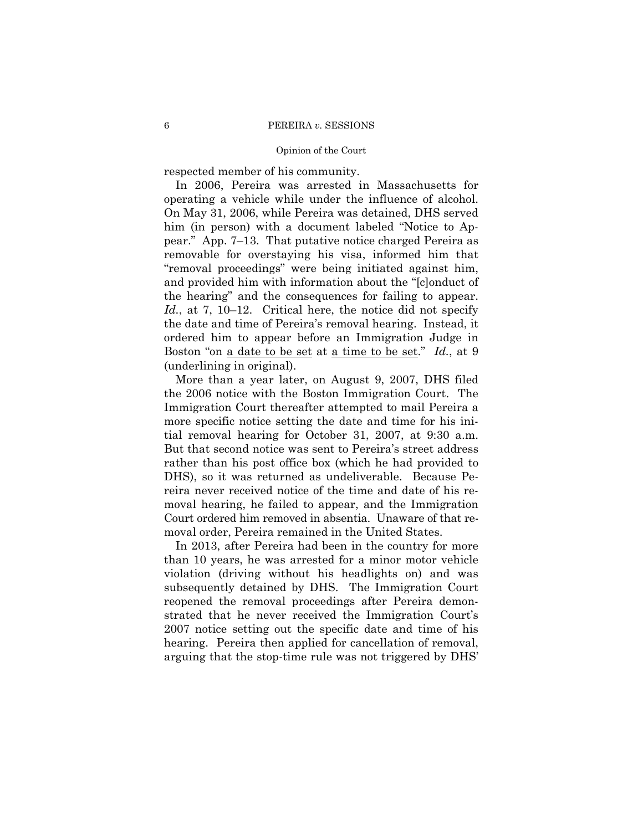respected member of his community.

Boston "on <u>a date to be set</u> at <u>a time to be set</u>." *Id.*, at 9 In 2006, Pereira was arrested in Massachusetts for operating a vehicle while under the influence of alcohol. On May 31, 2006, while Pereira was detained, DHS served him (in person) with a document labeled "Notice to Appear." App. 7–13. That putative notice charged Pereira as removable for overstaying his visa, informed him that "removal proceedings" were being initiated against him, and provided him with information about the "[c]onduct of the hearing" and the consequences for failing to appear. *Id.*, at 7, 10–12. Critical here, the notice did not specify the date and time of Pereira's removal hearing. Instead, it ordered him to appear before an Immigration Judge in (underlining in original).

More than a year later, on August 9, 2007, DHS filed the 2006 notice with the Boston Immigration Court. The Immigration Court thereafter attempted to mail Pereira a more specific notice setting the date and time for his initial removal hearing for October 31, 2007, at 9:30 a.m. But that second notice was sent to Pereira's street address rather than his post office box (which he had provided to DHS), so it was returned as undeliverable. Because Pereira never received notice of the time and date of his removal hearing, he failed to appear, and the Immigration Court ordered him removed in absentia. Unaware of that removal order, Pereira remained in the United States.

In 2013, after Pereira had been in the country for more than 10 years, he was arrested for a minor motor vehicle violation (driving without his headlights on) and was subsequently detained by DHS. The Immigration Court reopened the removal proceedings after Pereira demonstrated that he never received the Immigration Court's 2007 notice setting out the specific date and time of his hearing. Pereira then applied for cancellation of removal, arguing that the stop-time rule was not triggered by DHS'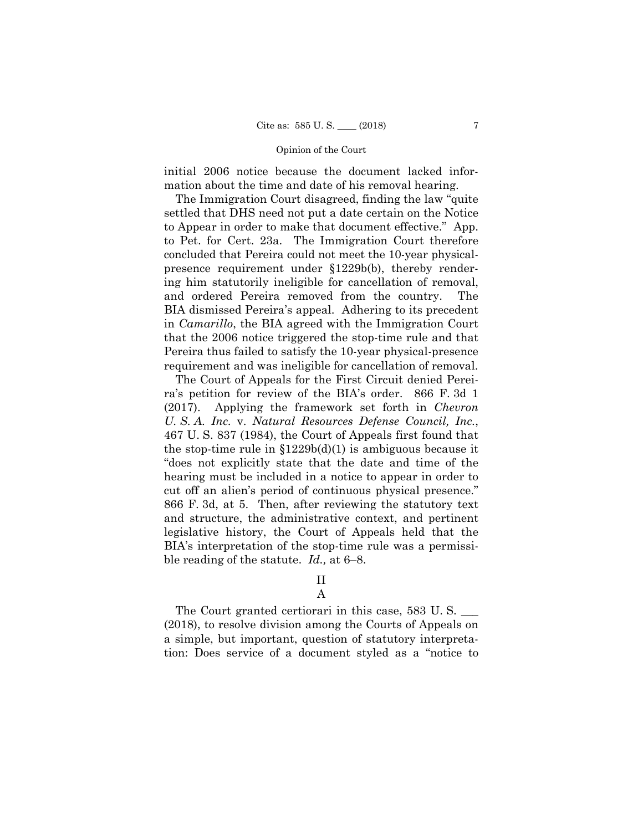initial 2006 notice because the document lacked information about the time and date of his removal hearing.

The Immigration Court disagreed, finding the law "quite settled that DHS need not put a date certain on the Notice to Appear in order to make that document effective." App. to Pet. for Cert. 23a. The Immigration Court therefore concluded that Pereira could not meet the 10-year physicalpresence requirement under §1229b(b), thereby rendering him statutorily ineligible for cancellation of removal, and ordered Pereira removed from the country. The BIA dismissed Pereira's appeal. Adhering to its precedent in *Camarillo*, the BIA agreed with the Immigration Court that the 2006 notice triggered the stop-time rule and that Pereira thus failed to satisfy the 10-year physical-presence requirement and was ineligible for cancellation of removal.

The Court of Appeals for the First Circuit denied Pereira's petition for review of the BIA's order. 866 F. 3d 1 (2017). Applying the framework set forth in *Chevron U. S. A. Inc.* v. *Natural Resources Defense Council, Inc.*, 467 U. S. 837 (1984), the Court of Appeals first found that the stop-time rule in  $$1229b(d)(1)$  is ambiguous because it "does not explicitly state that the date and time of the hearing must be included in a notice to appear in order to cut off an alien's period of continuous physical presence." 866 F. 3d, at 5. Then, after reviewing the statutory text and structure, the administrative context, and pertinent legislative history, the Court of Appeals held that the BIA's interpretation of the stop-time rule was a permissible reading of the statute. *Id.,* at 6–8.

# II

## A

The Court granted certiorari in this case, 583 U.S. (2018), to resolve division among the Courts of Appeals on a simple, but important, question of statutory interpretation: Does service of a document styled as a "notice to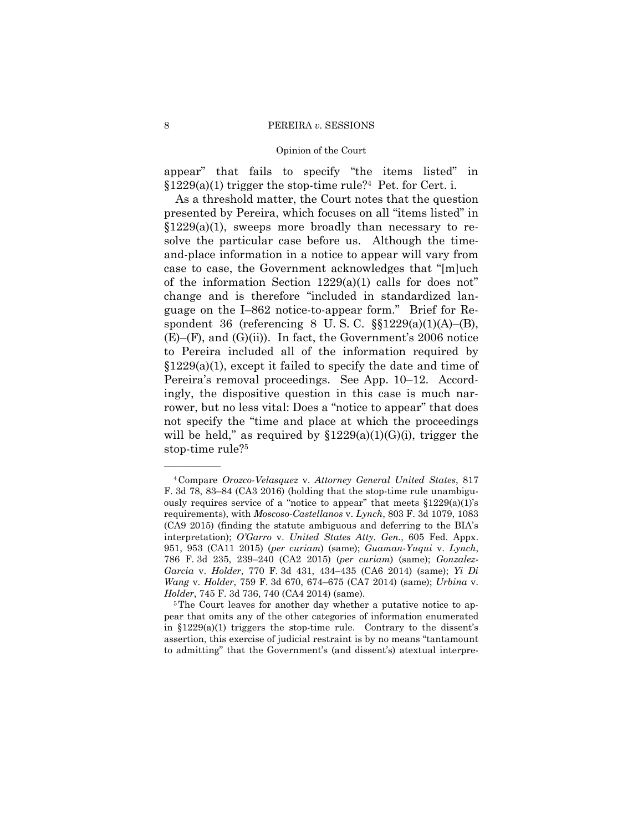## Opinion of the Court

appear" that fails to specify "the items listed" in  $$1229(a)(1)$  trigger the stop-time rule?<sup>4</sup> Pet. for Cert. i.

As a threshold matter, the Court notes that the question presented by Pereira, which focuses on all "items listed" in  $$1229(a)(1)$ , sweeps more broadly than necessary to resolve the particular case before us. Although the timeand-place information in a notice to appear will vary from case to case, the Government acknowledges that "[m]uch of the information Section  $1229(a)(1)$  calls for does not" change and is therefore "included in standardized language on the I–862 notice-to-appear form." Brief for Respondent 36 (referencing 8 U.S.C.  $\S$  $1229(a)(1)(A)$ –(B),  $(E)$ – $(F)$ , and  $(G)$ (ii)). In fact, the Government's 2006 notice to Pereira included all of the information required by  $§1229(a)(1)$ , except it failed to specify the date and time of Pereira's removal proceedings. See App. 10–12. Accordingly, the dispositive question in this case is much narrower, but no less vital: Does a "notice to appear" that does not specify the "time and place at which the proceedings will be held," as required by  $$1229(a)(1)(G)(i)$ , trigger the stop-time rule?5

<sup>4</sup>Compare *Orozco-Velasquez* v. *Attorney General United States*, 817 F. 3d 78, 83–84 (CA3 2016) (holding that the stop-time rule unambiguously requires service of a "notice to appear" that meets  $$1229(a)(1)$ 's requirements), with *Moscoso-Castellanos* v. *Lynch*, 803 F. 3d 1079, 1083 (CA9 2015) (finding the statute ambiguous and deferring to the BIA's interpretation); *O'Garro* v. *United States Atty. Gen.*, 605 Fed. Appx. 951, 953 (CA11 2015) (*per curiam*) (same); *Guaman-Yuqui* v. *Lynch*, 786 F. 3d 235, 239–240 (CA2 2015) (*per curiam*) (same); *Gonzalez-Garcia* v. *Holder*, 770 F. 3d 431, 434–435 (CA6 2014) (same); *Yi Di Wang* v. *Holder*, 759 F. 3d 670, 674–675 (CA7 2014) (same); *Urbina* v. *Holder*, 745 F. 3d 736, 740 (CA4 2014) (same).<br><sup>5</sup>The Court leaves for another day whether a putative notice to ap-

pear that omits any of the other categories of information enumerated in §1229(a)(1) triggers the stop-time rule. Contrary to the dissent's assertion, this exercise of judicial restraint is by no means "tantamount to admitting" that the Government's (and dissent's) atextual interpre-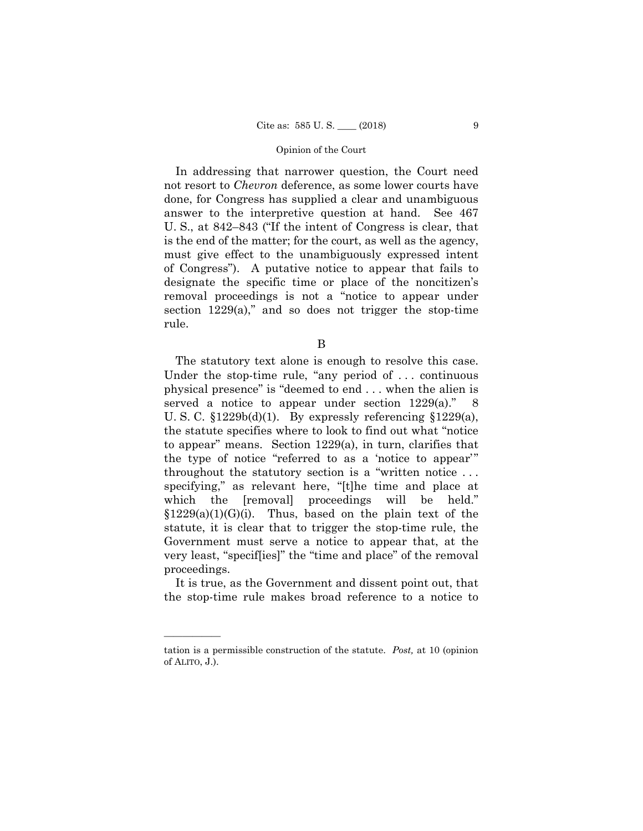In addressing that narrower question, the Court need not resort to *Chevron* deference, as some lower courts have done, for Congress has supplied a clear and unambiguous answer to the interpretive question at hand. See 467 U. S., at 842–843 ("If the intent of Congress is clear, that is the end of the matter; for the court, as well as the agency, must give effect to the unambiguously expressed intent of Congress"). A putative notice to appear that fails to designate the specific time or place of the noncitizen's removal proceedings is not a "notice to appear under section  $1229(a)$ ," and so does not trigger the stop-time rule.

B

The statutory text alone is enough to resolve this case. Under the stop-time rule, "any period of . . . continuous physical presence" is "deemed to end . . . when the alien is served a notice to appear under section 1229(a)." 8 U. S. C.  $\frac{1229b(d)}{1}$ . By expressly referencing  $\frac{1229(a)}{1}$ , the statute specifies where to look to find out what "notice to appear" means. Section 1229(a), in turn, clarifies that the type of notice "referred to as a 'notice to appear'" throughout the statutory section is a "written notice . . . specifying," as relevant here, "[t]he time and place at which the [removal] proceedings will be held."  $$1229(a)(1)(G)(i)$ . Thus, based on the plain text of the statute, it is clear that to trigger the stop-time rule, the Government must serve a notice to appear that, at the very least, "specif[ies]" the "time and place" of the removal proceedings.

It is true, as the Government and dissent point out, that the stop-time rule makes broad reference to a notice to

tation is a permissible construction of the statute. *Post,* at 10 (opinion of ALITO, J.).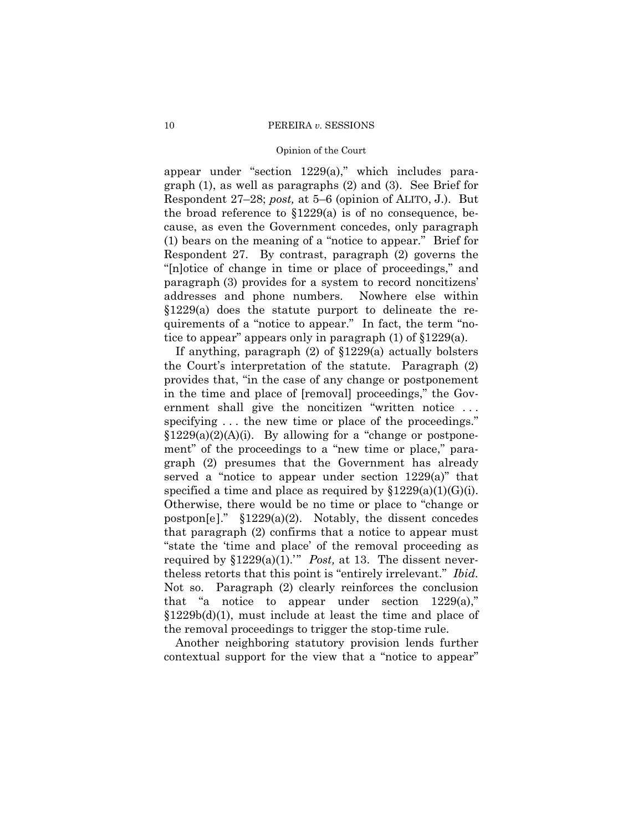## Opinion of the Court

appear under "section 1229(a)," which includes paragraph (1), as well as paragraphs (2) and (3). See Brief for Respondent 27–28; *post,* at 5–6 (opinion of ALITO, J.). But the broad reference to  $$1229(a)$  is of no consequence, because, as even the Government concedes, only paragraph (1) bears on the meaning of a "notice to appear." Brief for Respondent 27. By contrast, paragraph (2) governs the "[n]otice of change in time or place of proceedings," and paragraph (3) provides for a system to record noncitizens' addresses and phone numbers. Nowhere else within §1229(a) does the statute purport to delineate the requirements of a "notice to appear." In fact, the term "notice to appear" appears only in paragraph (1) of §1229(a).

required by  $\S 1229(a)(1)$ ." *Post*, at 13. The dissent never-If anything, paragraph (2) of §1229(a) actually bolsters the Court's interpretation of the statute. Paragraph (2) provides that, "in the case of any change or postponement in the time and place of [removal] proceedings," the Government shall give the noncitizen "written notice ... specifying ... the new time or place of the proceedings."  $§1229(a)(2)(A)(i)$ . By allowing for a "change or postponement" of the proceedings to a "new time or place," paragraph (2) presumes that the Government has already served a "notice to appear under section 1229(a)" that specified a time and place as required by  $$1229(a)(1)(G)(i)$ . Otherwise, there would be no time or place to "change or postpon[e]." §1229(a)(2). Notably, the dissent concedes that paragraph (2) confirms that a notice to appear must "state the 'time and place' of the removal proceeding as theless retorts that this point is "entirely irrelevant." *Ibid.*  Not so. Paragraph (2) clearly reinforces the conclusion that "a notice to appear under section  $1229(a)$ ," §1229b(d)(1), must include at least the time and place of the removal proceedings to trigger the stop-time rule.

Another neighboring statutory provision lends further contextual support for the view that a "notice to appear"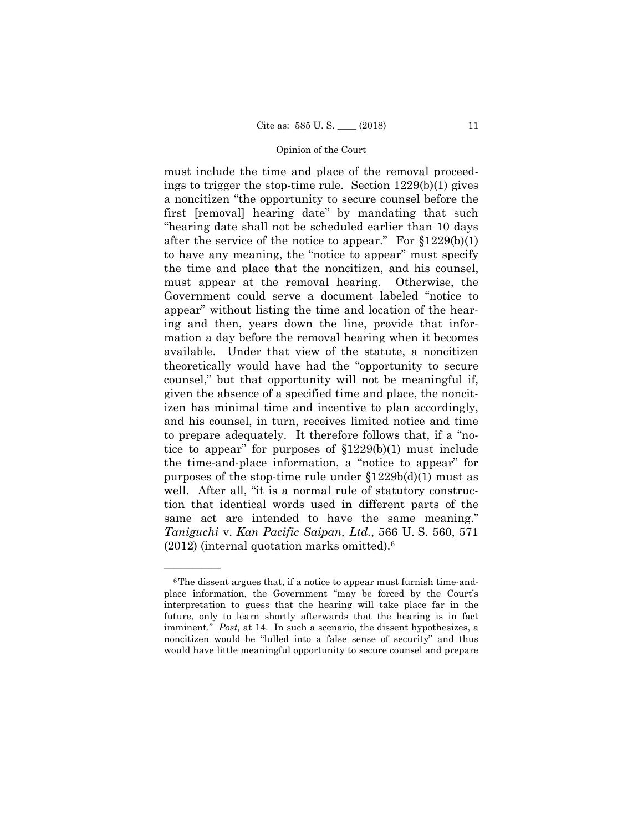must include the time and place of the removal proceedings to trigger the stop-time rule. Section 1229(b)(1) gives a noncitizen "the opportunity to secure counsel before the first [removal] hearing date" by mandating that such "hearing date shall not be scheduled earlier than 10 days after the service of the notice to appear." For §1229(b)(1) to have any meaning, the "notice to appear" must specify the time and place that the noncitizen, and his counsel, must appear at the removal hearing. Otherwise, the Government could serve a document labeled "notice to appear" without listing the time and location of the hearing and then, years down the line, provide that information a day before the removal hearing when it becomes available. Under that view of the statute, a noncitizen theoretically would have had the "opportunity to secure counsel," but that opportunity will not be meaningful if, given the absence of a specified time and place, the noncitizen has minimal time and incentive to plan accordingly, and his counsel, in turn, receives limited notice and time to prepare adequately. It therefore follows that, if a "notice to appear" for purposes of §1229(b)(1) must include the time-and-place information, a "notice to appear" for purposes of the stop-time rule under  $$1229b(d)(1)$  must as well. After all, "it is a normal rule of statutory construction that identical words used in different parts of the same act are intended to have the same meaning." *Taniguchi* v. *Kan Pacific Saipan, Ltd.*, 566 U. S. 560, 571 (2012) (internal quotation marks omitted).6

<sup>6</sup>The dissent argues that, if a notice to appear must furnish time-andplace information, the Government "may be forced by the Court's interpretation to guess that the hearing will take place far in the future, only to learn shortly afterwards that the hearing is in fact imminent." *Post,* at 14. In such a scenario, the dissent hypothesizes, a noncitizen would be "lulled into a false sense of security" and thus would have little meaningful opportunity to secure counsel and prepare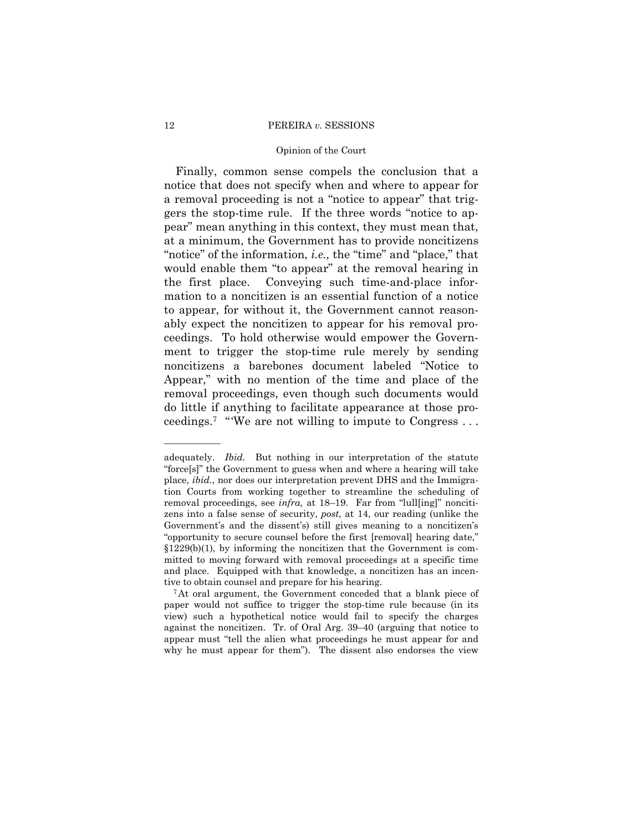#### Opinion of the Court

Finally, common sense compels the conclusion that a notice that does not specify when and where to appear for a removal proceeding is not a "notice to appear" that triggers the stop-time rule. If the three words "notice to appear" mean anything in this context, they must mean that, at a minimum, the Government has to provide noncitizens "notice" of the information, *i.e.,* the "time" and "place," that would enable them "to appear" at the removal hearing in the first place. Conveying such time-and-place information to a noncitizen is an essential function of a notice to appear, for without it, the Government cannot reasonably expect the noncitizen to appear for his removal proceedings. To hold otherwise would empower the Government to trigger the stop-time rule merely by sending noncitizens a barebones document labeled "Notice to Appear," with no mention of the time and place of the removal proceedings, even though such documents would do little if anything to facilitate appearance at those proceedings.7 "'We are not willing to impute to Congress . . .

adequately. *Ibid.* But nothing in our interpretation of the statute "force[s]" the Government to guess when and where a hearing will take place, *ibid.*, nor does our interpretation prevent DHS and the Immigration Courts from working together to streamline the scheduling of removal proceedings, see *infra,* at 18–19. Far from "lull[ing]" noncitizens into a false sense of security, *post*, at 14, our reading (unlike the Government's and the dissent's) still gives meaning to a noncitizen's "opportunity to secure counsel before the first [removal] hearing date,"  $§1229(b)(1)$ , by informing the noncitizen that the Government is committed to moving forward with removal proceedings at a specific time and place. Equipped with that knowledge, a noncitizen has an incentive to obtain counsel and prepare for his hearing. 7At oral argument, the Government conceded that a blank piece of

paper would not suffice to trigger the stop-time rule because (in its view) such a hypothetical notice would fail to specify the charges against the noncitizen. Tr. of Oral Arg. 39–40 (arguing that notice to appear must "tell the alien what proceedings he must appear for and why he must appear for them"). The dissent also endorses the view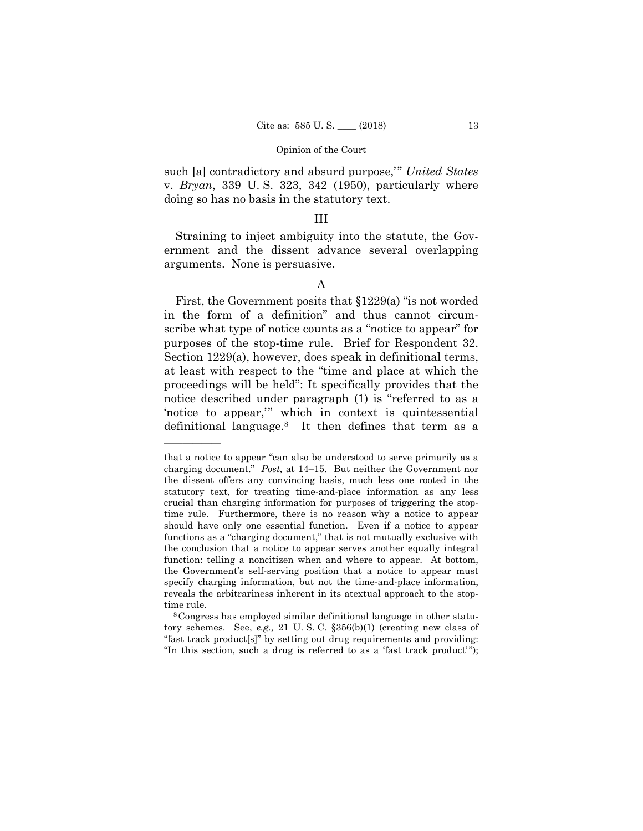such [a] contradictory and absurd purpose,'" *United States*  v. *Bryan*, 339 U. S. 323, 342 (1950), particularly where doing so has no basis in the statutory text.

## III

Straining to inject ambiguity into the statute, the Government and the dissent advance several overlapping arguments. None is persuasive.

First, the Government posits that §1229(a) "is not worded in the form of a definition" and thus cannot circumscribe what type of notice counts as a "notice to appear" for purposes of the stop-time rule. Brief for Respondent 32. Section 1229(a), however, does speak in definitional terms, at least with respect to the "time and place at which the proceedings will be held": It specifically provides that the notice described under paragraph (1) is "referred to as a 'notice to appear,'" which in context is quintessential definitional language.8 It then defines that term as a

A

 charging document." *Post,* at 14–15. But neither the Government nor that a notice to appear "can also be understood to serve primarily as a the dissent offers any convincing basis, much less one rooted in the statutory text, for treating time-and-place information as any less crucial than charging information for purposes of triggering the stoptime rule. Furthermore, there is no reason why a notice to appear should have only one essential function. Even if a notice to appear functions as a "charging document," that is not mutually exclusive with the conclusion that a notice to appear serves another equally integral function: telling a noncitizen when and where to appear. At bottom, the Government's self-serving position that a notice to appear must specify charging information, but not the time-and-place information, reveals the arbitrariness inherent in its atextual approach to the stoptime rule.<br><sup>8</sup>Congress has employed similar definitional language in other statu-

tory schemes. See, *e.g.,* 21 U. S. C. §356(b)(1) (creating new class of "fast track product[s]" by setting out drug requirements and providing: "In this section, such a drug is referred to as a 'fast track product' ");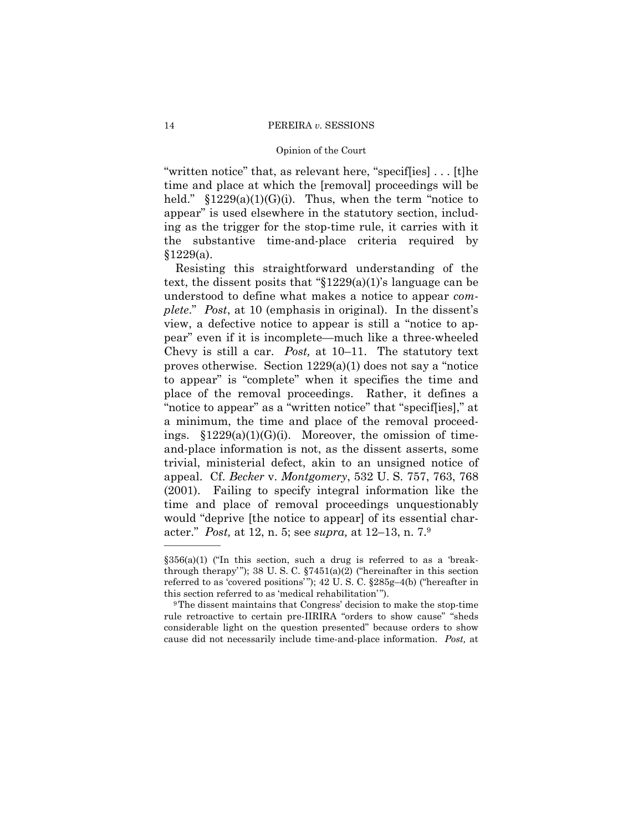"written notice" that, as relevant here, "specif[ies] . . . [t]he time and place at which the [removal] proceedings will be held."  $$1229(a)(1)(G)(i)$ . Thus, when the term "notice to appear" is used elsewhere in the statutory section, including as the trigger for the stop-time rule, it carries with it the substantive time-and-place criteria required by  $§1229(a).$ 

 Chevy is still a car. *Post,* at 10–11. The statutory text Resisting this straightforward understanding of the text, the dissent posits that " $$1229(a)(1)$ 's language can be understood to define what makes a notice to appear *complete*." *Post*, at 10 (emphasis in original). In the dissent's view, a defective notice to appear is still a "notice to appear" even if it is incomplete—much like a three-wheeled proves otherwise. Section 1229(a)(1) does not say a "notice to appear" is "complete" when it specifies the time and place of the removal proceedings. Rather, it defines a "notice to appear" as a "written notice" that "specif[ies]," at a minimum, the time and place of the removal proceedings.  $$1229(a)(1)(G)(i)$ . Moreover, the omission of timeand-place information is not, as the dissent asserts, some trivial, ministerial defect, akin to an unsigned notice of appeal. Cf. *Becker* v. *Montgomery*, 532 U. S. 757, 763, 768 (2001). Failing to specify integral information like the time and place of removal proceedings unquestionably would "deprive [the notice to appear] of its essential character." *Post,* at 12, n. 5; see *supra,* at 12–13, n. 7.9

 $$356(a)(1)$  ('In this section, such a drug is referred to as a 'breakthrough therapy"); 38 U.S.C.  $$7451(a)(2)$  ("hereinafter in this section referred to as 'covered positions'"); 42 U.S.C. §285g-4(b) ("hereafter in this section referred to as 'medical rehabilitation'").<br><sup>9</sup>The dissent maintains that Congress' decision to make the stop-time

 cause did not necessarily include time-and-place information. *Post,* at rule retroactive to certain pre-IIRIRA "orders to show cause" "sheds considerable light on the question presented" because orders to show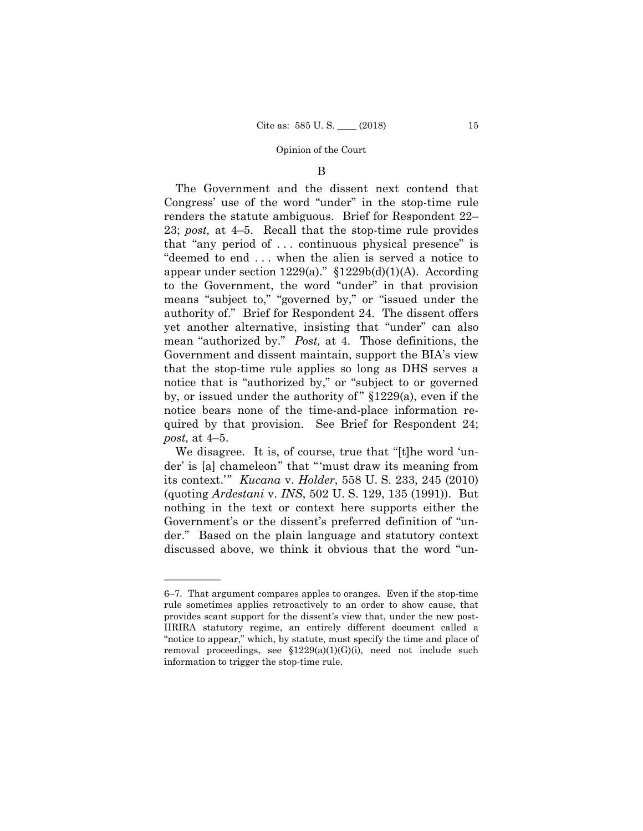#### B

The Government and the dissent next contend that Congress' use of the word "under" in the stop-time rule renders the statute ambiguous. Brief for Respondent 22– 23; *post,* at 4–5. Recall that the stop-time rule provides that "any period of . . . continuous physical presence" is "deemed to end . . . when the alien is served a notice to appear under section  $1229(a)$ ."  $$1229b(d)(1)(A)$ . According to the Government, the word "under" in that provision means "subject to," "governed by," or "issued under the authority of." Brief for Respondent 24. The dissent offers yet another alternative, insisting that "under" can also mean "authorized by." *Post,* at 4. Those definitions, the Government and dissent maintain, support the BIA's view that the stop-time rule applies so long as DHS serves a notice that is "authorized by," or "subject to or governed by, or issued under the authority of  $\S 1229(a)$ , even if the notice bears none of the time-and-place information required by that provision. See Brief for Respondent 24; *post,* at 4–5.

We disagree. It is, of course, true that "[t]he word 'under' is [a] chameleon" that "'must draw its meaning from its context.'" *Kucana* v. *Holder*, 558 U. S. 233, 245 (2010) (quoting *Ardestani* v. *INS*, 502 U. S. 129, 135 (1991)). But nothing in the text or context here supports either the Government's or the dissent's preferred definition of "under." Based on the plain language and statutory context discussed above, we think it obvious that the word "un-

<sup>6–7.</sup> That argument compares apples to oranges. Even if the stop-time rule sometimes applies retroactively to an order to show cause, that provides scant support for the dissent's view that, under the new post-IIRIRA statutory regime, an entirely different document called a "notice to appear," which, by statute, must specify the time and place of removal proceedings, see  $$1229(a)(1)(G)(i)$ , need not include such information to trigger the stop-time rule.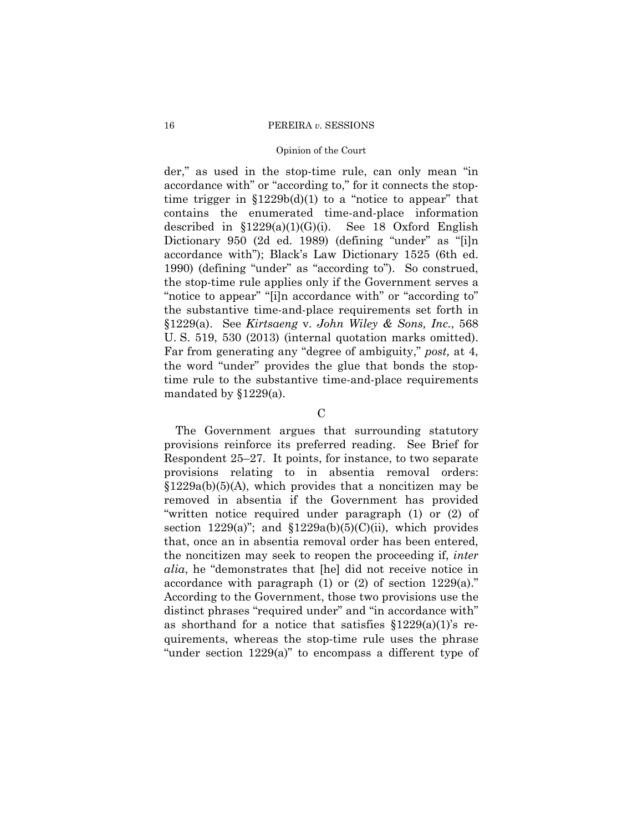## Opinion of the Court

der," as used in the stop-time rule, can only mean "in accordance with" or "according to," for it connects the stoptime trigger in  $$1229b(d)(1)$  to a "notice to appear" that contains the enumerated time-and-place information described in  $$1229(a)(1)(G)(i)$ . See 18 Oxford English Dictionary 950 (2d ed. 1989) (defining "under" as "[i]n accordance with"); Black's Law Dictionary 1525 (6th ed. 1990) (defining "under" as "according to"). So construed, the stop-time rule applies only if the Government serves a "notice to appear" "[i]n accordance with" or "according to" the substantive time-and-place requirements set forth in §1229(a). See *Kirtsaeng* v. *John Wiley & Sons, Inc.*, 568 U. S. 519, 530 (2013) (internal quotation marks omitted). Far from generating any "degree of ambiguity," *post,* at 4, the word "under" provides the glue that bonds the stoptime rule to the substantive time-and-place requirements mandated by §1229(a).

 $\mathcal{C}$ 

The Government argues that surrounding statutory provisions reinforce its preferred reading. See Brief for Respondent 25–27. It points, for instance, to two separate provisions relating to in absentia removal orders:  $$1229a(b)(5)(A)$ , which provides that a noncitizen may be removed in absentia if the Government has provided "written notice required under paragraph (1) or (2) of section  $1229(a)$ "; and  $$1229a(b)(5)(C)(ii)$ , which provides that, once an in absentia removal order has been entered, the noncitizen may seek to reopen the proceeding if, *inter alia*, he "demonstrates that [he] did not receive notice in accordance with paragraph  $(1)$  or  $(2)$  of section 1229 $(a)$ ." According to the Government, those two provisions use the distinct phrases "required under" and "in accordance with" as shorthand for a notice that satisfies  $$1229(a)(1)$ 's requirements, whereas the stop-time rule uses the phrase "under section 1229(a)" to encompass a different type of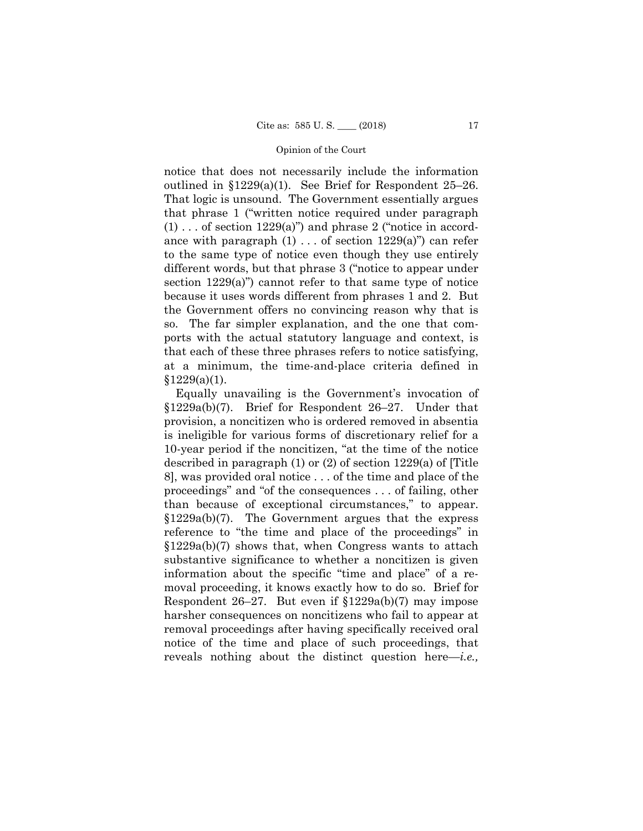notice that does not necessarily include the information outlined in §1229(a)(1). See Brief for Respondent 25–26. That logic is unsound. The Government essentially argues that phrase 1 ("written notice required under paragraph  $(1) \ldots$  of section 1229(a)") and phrase 2 ("notice in accordance with paragraph  $(1)$ ... of section  $1229(a)$ " can refer to the same type of notice even though they use entirely different words, but that phrase 3 ("notice to appear under section 1229(a)") cannot refer to that same type of notice because it uses words different from phrases 1 and 2. But the Government offers no convincing reason why that is so. The far simpler explanation, and the one that comports with the actual statutory language and context, is that each of these three phrases refers to notice satisfying, at a minimum, the time-and-place criteria defined in  $§1229(a)(1).$ 

 than because of exceptional circumstances," to appear. Equally unavailing is the Government's invocation of §1229a(b)(7). Brief for Respondent 26–27. Under that provision, a noncitizen who is ordered removed in absentia is ineligible for various forms of discretionary relief for a 10-year period if the noncitizen, "at the time of the notice described in paragraph (1) or (2) of section 1229(a) of [Title 8], was provided oral notice . . . of the time and place of the proceedings" and "of the consequences . . . of failing, other §1229a(b)(7). The Government argues that the express reference to "the time and place of the proceedings" in §1229a(b)(7) shows that, when Congress wants to attach substantive significance to whether a noncitizen is given information about the specific "time and place" of a removal proceeding, it knows exactly how to do so. Brief for Respondent 26–27. But even if §1229a(b)(7) may impose harsher consequences on noncitizens who fail to appear at removal proceedings after having specifically received oral notice of the time and place of such proceedings, that reveals nothing about the distinct question here—*i.e.,*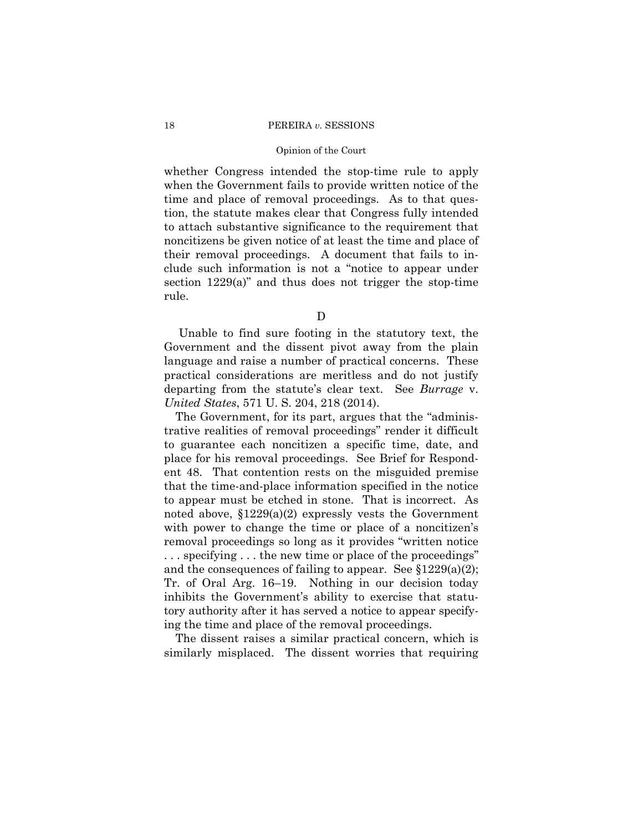#### Opinion of the Court

whether Congress intended the stop-time rule to apply when the Government fails to provide written notice of the time and place of removal proceedings. As to that question, the statute makes clear that Congress fully intended to attach substantive significance to the requirement that noncitizens be given notice of at least the time and place of their removal proceedings. A document that fails to include such information is not a "notice to appear under section 1229(a)" and thus does not trigger the stop-time rule.

D

Unable to find sure footing in the statutory text, the Government and the dissent pivot away from the plain language and raise a number of practical concerns. These practical considerations are meritless and do not justify departing from the statute's clear text. See *Burrage* v. *United States*, 571 U. S. 204, 218 (2014).

The Government, for its part, argues that the "administrative realities of removal proceedings" render it difficult to guarantee each noncitizen a specific time, date, and place for his removal proceedings. See Brief for Respondent 48. That contention rests on the misguided premise that the time-and-place information specified in the notice to appear must be etched in stone. That is incorrect. As noted above, §1229(a)(2) expressly vests the Government with power to change the time or place of a noncitizen's removal proceedings so long as it provides "written notice . . . specifying . . . the new time or place of the proceedings" and the consequences of failing to appear. See  $$1229(a)(2);$ Tr. of Oral Arg. 16–19. Nothing in our decision today inhibits the Government's ability to exercise that statutory authority after it has served a notice to appear specifying the time and place of the removal proceedings.

The dissent raises a similar practical concern, which is similarly misplaced. The dissent worries that requiring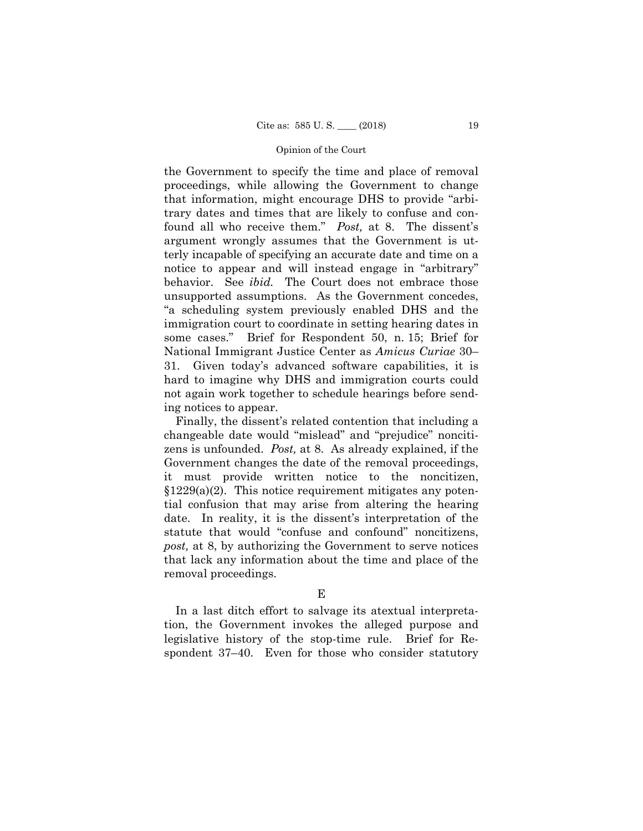the Government to specify the time and place of removal proceedings, while allowing the Government to change that information, might encourage DHS to provide "arbitrary dates and times that are likely to confuse and confound all who receive them." *Post,* at 8. The dissent's argument wrongly assumes that the Government is utterly incapable of specifying an accurate date and time on a notice to appear and will instead engage in "arbitrary" behavior. See *ibid.* The Court does not embrace those unsupported assumptions. As the Government concedes, "a scheduling system previously enabled DHS and the immigration court to coordinate in setting hearing dates in some cases." Brief for Respondent 50, n. 15; Brief for National Immigrant Justice Center as *Amicus Curiae* 30– 31. Given today's advanced software capabilities, it is hard to imagine why DHS and immigration courts could not again work together to schedule hearings before sending notices to appear.

Finally, the dissent's related contention that including a changeable date would "mislead" and "prejudice" noncitizens is unfounded. *Post,* at 8. As already explained, if the Government changes the date of the removal proceedings, it must provide written notice to the noncitizen,  $§1229(a)(2)$ . This notice requirement mitigates any potential confusion that may arise from altering the hearing date. In reality, it is the dissent's interpretation of the statute that would "confuse and confound" noncitizens, *post,* at 8, by authorizing the Government to serve notices that lack any information about the time and place of the removal proceedings.

In a last ditch effort to salvage its atextual interpretation, the Government invokes the alleged purpose and legislative history of the stop-time rule. Brief for Respondent 37–40. Even for those who consider statutory

E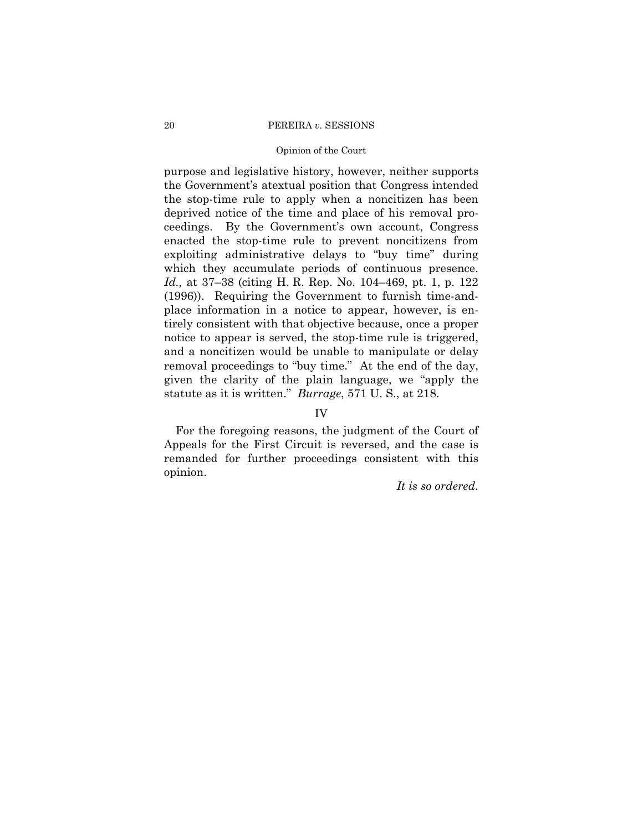## Opinion of the Court

 which they accumulate periods of continuous presence. purpose and legislative history, however, neither supports the Government's atextual position that Congress intended the stop-time rule to apply when a noncitizen has been deprived notice of the time and place of his removal proceedings. By the Government's own account, Congress enacted the stop-time rule to prevent noncitizens from exploiting administrative delays to "buy time" during *Id.,* at 37–38 (citing H. R. Rep. No. 104–469, pt. 1, p. 122 (1996)). Requiring the Government to furnish time-andplace information in a notice to appear, however, is entirely consistent with that objective because, once a proper notice to appear is served, the stop-time rule is triggered, and a noncitizen would be unable to manipulate or delay removal proceedings to "buy time." At the end of the day, given the clarity of the plain language, we "apply the statute as it is written." *Burrage*, 571 U. S., at 218.

## IV

For the foregoing reasons, the judgment of the Court of Appeals for the First Circuit is reversed, and the case is remanded for further proceedings consistent with this opinion.

*It is so ordered.*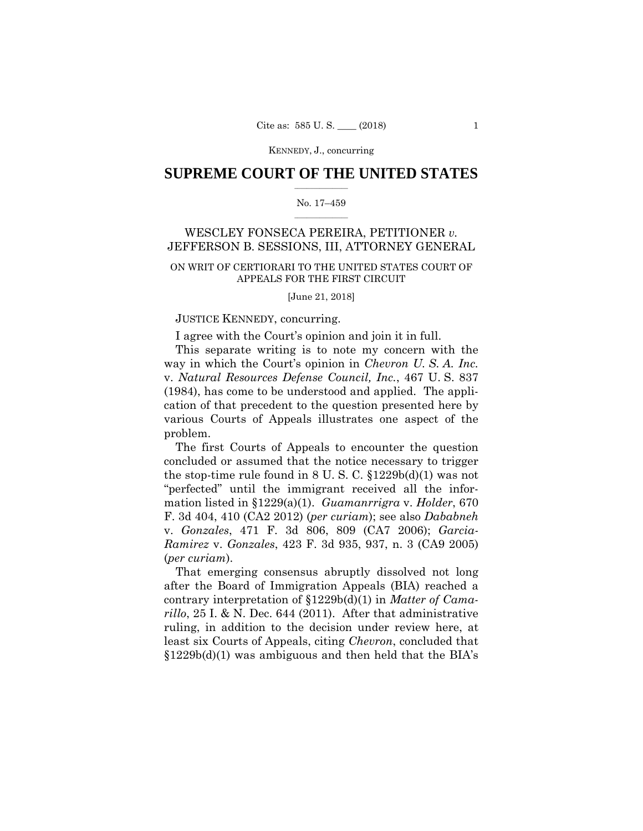KENNEDY, J., concurring

## $\frac{1}{2}$  ,  $\frac{1}{2}$  ,  $\frac{1}{2}$  ,  $\frac{1}{2}$  ,  $\frac{1}{2}$  ,  $\frac{1}{2}$  ,  $\frac{1}{2}$ **SUPREME COURT OF THE UNITED STATES**

#### $\frac{1}{2}$  ,  $\frac{1}{2}$  ,  $\frac{1}{2}$  ,  $\frac{1}{2}$  ,  $\frac{1}{2}$  ,  $\frac{1}{2}$ No. 17–459

## WESCLEY FONSECA PEREIRA, PETITIONER *v.*  JEFFERSON B. SESSIONS, III, ATTORNEY GENERAL

## ON WRIT OF CERTIORARI TO THE UNITED STATES COURT OF APPEALS FOR THE FIRST CIRCUIT

[June 21, 2018]

## JUSTICE KENNEDY, concurring.

I agree with the Court's opinion and join it in full.

This separate writing is to note my concern with the way in which the Court's opinion in *Chevron U. S. A. Inc.*  v. *Natural Resources Defense Council, Inc.*, 467 U. S. 837 (1984), has come to be understood and applied. The application of that precedent to the question presented here by various Courts of Appeals illustrates one aspect of the problem.

The first Courts of Appeals to encounter the question concluded or assumed that the notice necessary to trigger the stop-time rule found in  $8 \text{ U. S. C. } \S 1229b(d)(1)$  was not "perfected" until the immigrant received all the information listed in §1229(a)(1). *Guamanrrigra* v. *Holder*, 670 F. 3d 404, 410 (CA2 2012) (*per curiam*); see also *Dababneh*  v. *Gonzales*, 471 F. 3d 806, 809 (CA7 2006); *Garcia-Ramirez* v. *Gonzales*, 423 F. 3d 935, 937, n. 3 (CA9 2005) (*per curiam*).

That emerging consensus abruptly dissolved not long after the Board of Immigration Appeals (BIA) reached a contrary interpretation of §1229b(d)(1) in *Matter of Camarillo*, 25 I. & N. Dec. 644 (2011). After that administrative ruling, in addition to the decision under review here, at least six Courts of Appeals, citing *Chevron*, concluded that  $$1229b(d)(1)$  was ambiguous and then held that the BIA's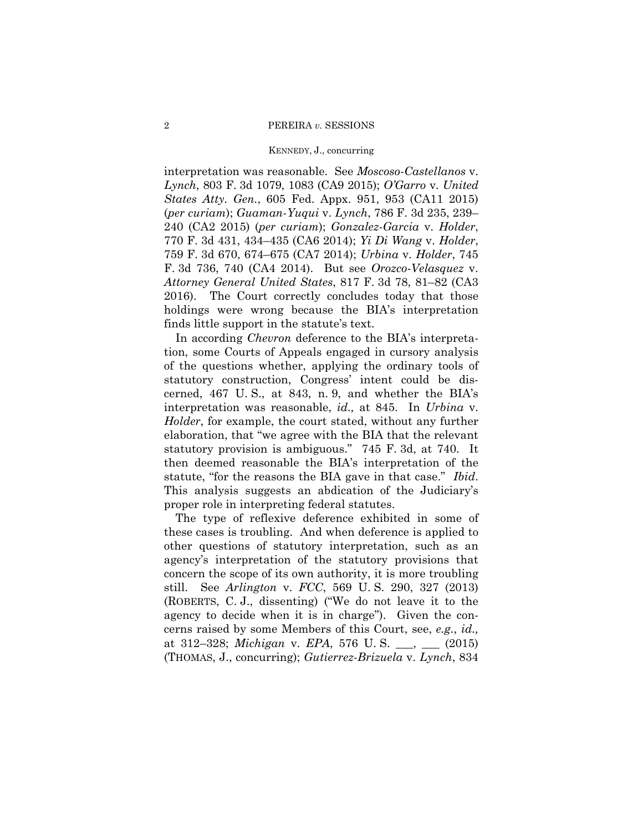#### KENNEDY, J., concurring

interpretation was reasonable. See *Moscoso-Castellanos* v. *Lynch*, 803 F. 3d 1079, 1083 (CA9 2015); *O'Garro* v. *United States Atty. Gen.*, 605 Fed. Appx. 951, 953 (CA11 2015) (*per curiam*); *Guaman-Yuqui* v. *Lynch*, 786 F. 3d 235, 239– 240 (CA2 2015) (*per curiam*); *Gonzalez-Garcia* v. *Holder*, 770 F. 3d 431, 434–435 (CA6 2014); *Yi Di Wang* v. *Holder*, 759 F. 3d 670, 674–675 (CA7 2014); *Urbina* v. *Holder*, 745 F. 3d 736, 740 (CA4 2014). But see *Orozco-Velasquez* v. *Attorney General United States*, 817 F. 3d 78, 81–82 (CA3 2016). The Court correctly concludes today that those holdings were wrong because the BIA's interpretation finds little support in the statute's text.

 In according *Chevron* deference to the BIA's interpretation, some Courts of Appeals engaged in cursory analysis of the questions whether, applying the ordinary tools of statutory construction, Congress' intent could be discerned, 467 U. S., at 843, n. 9, and whether the BIA's interpretation was reasonable, *id.,* at 845. In *Urbina* v. *Holder*, for example, the court stated, without any further elaboration, that "we agree with the BIA that the relevant statutory provision is ambiguous." 745 F. 3d, at 740. It then deemed reasonable the BIA's interpretation of the statute, "for the reasons the BIA gave in that case." *Ibid*. This analysis suggests an abdication of the Judiciary's proper role in interpreting federal statutes.

The type of reflexive deference exhibited in some of these cases is troubling. And when deference is applied to other questions of statutory interpretation, such as an agency's interpretation of the statutory provisions that concern the scope of its own authority, it is more troubling still. See *Arlington* v. *FCC*, 569 U. S. 290, 327 (2013) (ROBERTS, C. J., dissenting) ("We do not leave it to the agency to decide when it is in charge"). Given the concerns raised by some Members of this Court, see, *e.g.*, *id.,*  at 312–328; *Michigan* v. *EPA*, 576 U. S. \_\_\_, \_\_\_ (2015) (THOMAS, J., concurring); *Gutierrez-Brizuela* v. *Lynch*, 834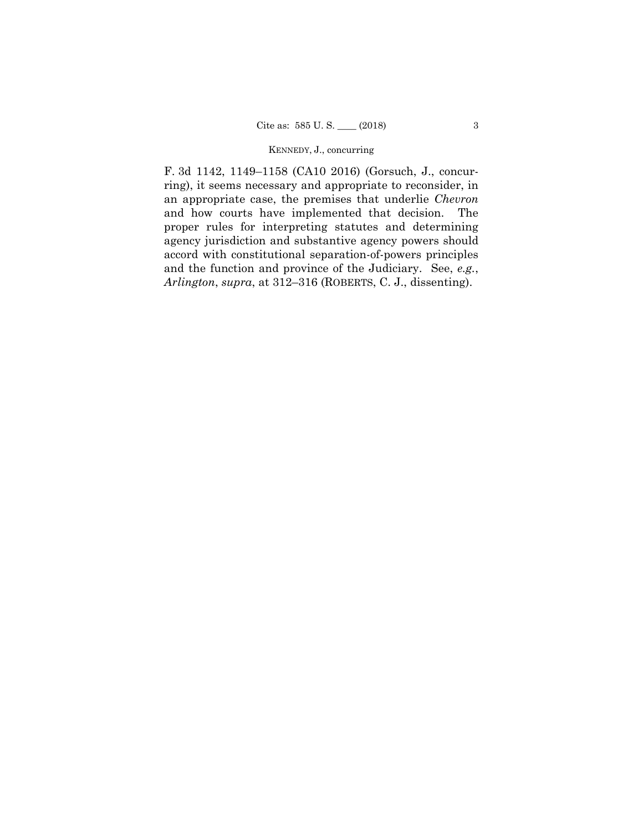## KENNEDY, J., concurring

F. 3d 1142, 1149–1158 (CA10 2016) (Gorsuch, J., concurring), it seems necessary and appropriate to reconsider, in an appropriate case, the premises that underlie *Chevron*  and how courts have implemented that decision. The proper rules for interpreting statutes and determining agency jurisdiction and substantive agency powers should accord with constitutional separation-of-powers principles and the function and province of the Judiciary. See, *e.g.*, *Arlington*, *supra*, at 312–316 (ROBERTS, C. J., dissenting).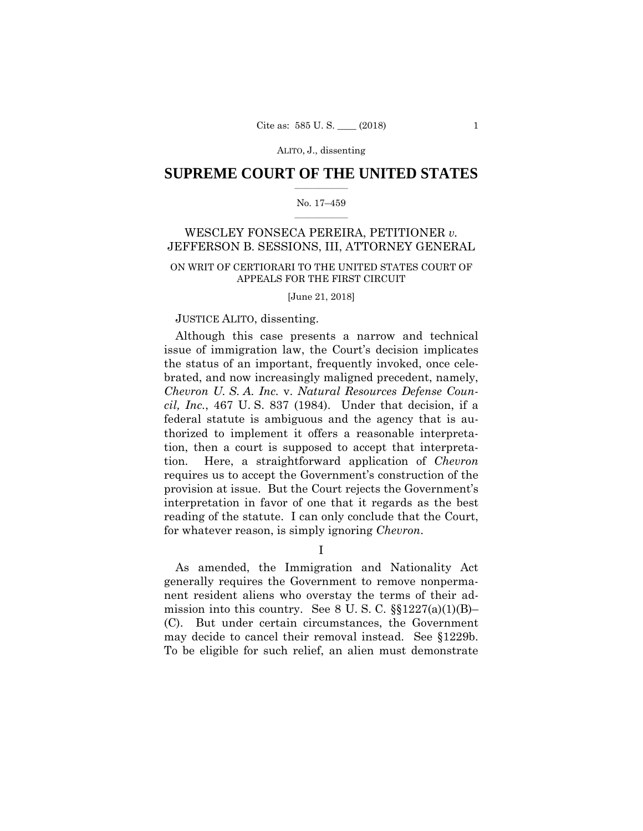## $\frac{1}{2}$  ,  $\frac{1}{2}$  ,  $\frac{1}{2}$  ,  $\frac{1}{2}$  ,  $\frac{1}{2}$  ,  $\frac{1}{2}$  ,  $\frac{1}{2}$ **SUPREME COURT OF THE UNITED STATES**

#### $\frac{1}{2}$  ,  $\frac{1}{2}$  ,  $\frac{1}{2}$  ,  $\frac{1}{2}$  ,  $\frac{1}{2}$  ,  $\frac{1}{2}$ No. 17–459

## WESCLEY FONSECA PEREIRA, PETITIONER *v.*  JEFFERSON B. SESSIONS, III, ATTORNEY GENERAL

## ON WRIT OF CERTIORARI TO THE UNITED STATES COURT OF APPEALS FOR THE FIRST CIRCUIT

[June 21, 2018]

## JUSTICE ALITO, dissenting.

Although this case presents a narrow and technical issue of immigration law, the Court's decision implicates the status of an important, frequently invoked, once celebrated, and now increasingly maligned precedent, namely, *Chevron U. S. A. Inc.* v. *Natural Resources Defense Council, Inc.*, 467 U. S. 837 (1984). Under that decision, if a federal statute is ambiguous and the agency that is authorized to implement it offers a reasonable interpretation, then a court is supposed to accept that interpretation. Here, a straightforward application of *Chevron*  requires us to accept the Government's construction of the provision at issue. But the Court rejects the Government's interpretation in favor of one that it regards as the best reading of the statute. I can only conclude that the Court, for whatever reason, is simply ignoring *Chevron*.

I

 may decide to cancel their removal instead. See §1229b. As amended, the Immigration and Nationality Act generally requires the Government to remove nonpermanent resident aliens who overstay the terms of their admission into this country. See 8 U.S.C.  $\S$ [1227(a)(1)(B)– (C). But under certain circumstances, the Government To be eligible for such relief, an alien must demonstrate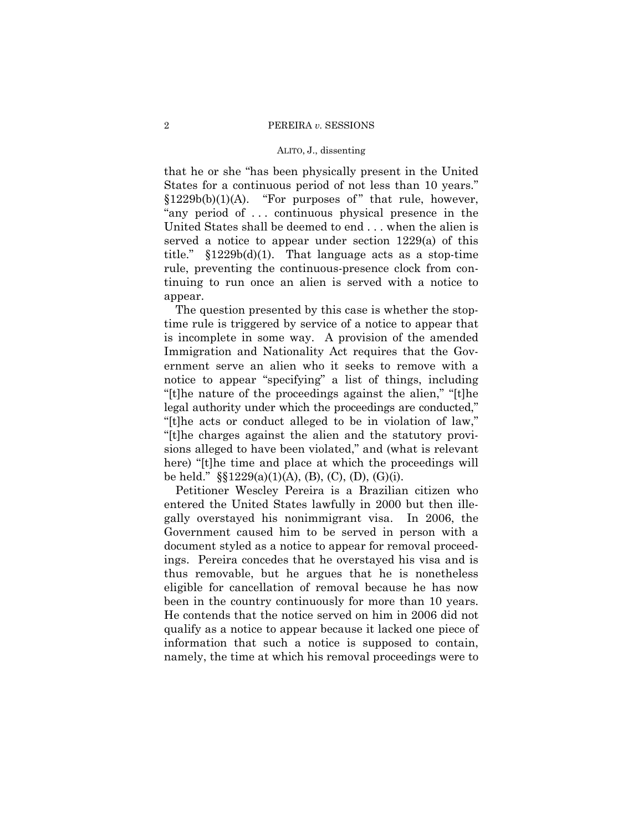that he or she "has been physically present in the United States for a continuous period of not less than 10 years." §1229b(b)(1)(A). "For purposes of" that rule, however, "any period of . . . continuous physical presence in the United States shall be deemed to end . . . when the alien is served a notice to appear under section 1229(a) of this title."  $$1229b(d)(1)$ . That language acts as a stop-time rule, preventing the continuous-presence clock from continuing to run once an alien is served with a notice to appear.

The question presented by this case is whether the stoptime rule is triggered by service of a notice to appear that is incomplete in some way. A provision of the amended Immigration and Nationality Act requires that the Government serve an alien who it seeks to remove with a notice to appear "specifying" a list of things, including "[t]he nature of the proceedings against the alien," "[t]he legal authority under which the proceedings are conducted," "[t]he acts or conduct alleged to be in violation of law," "[t]he charges against the alien and the statutory provisions alleged to have been violated," and (what is relevant here) "[t]he time and place at which the proceedings will be held."  $\S$ [229(a)(1)(A), (B), (C), (D), (G)(i).

Petitioner Wescley Pereira is a Brazilian citizen who entered the United States lawfully in 2000 but then illegally overstayed his nonimmigrant visa. In 2006, the Government caused him to be served in person with a document styled as a notice to appear for removal proceedings. Pereira concedes that he overstayed his visa and is thus removable, but he argues that he is nonetheless eligible for cancellation of removal because he has now been in the country continuously for more than 10 years. He contends that the notice served on him in 2006 did not qualify as a notice to appear because it lacked one piece of information that such a notice is supposed to contain, namely, the time at which his removal proceedings were to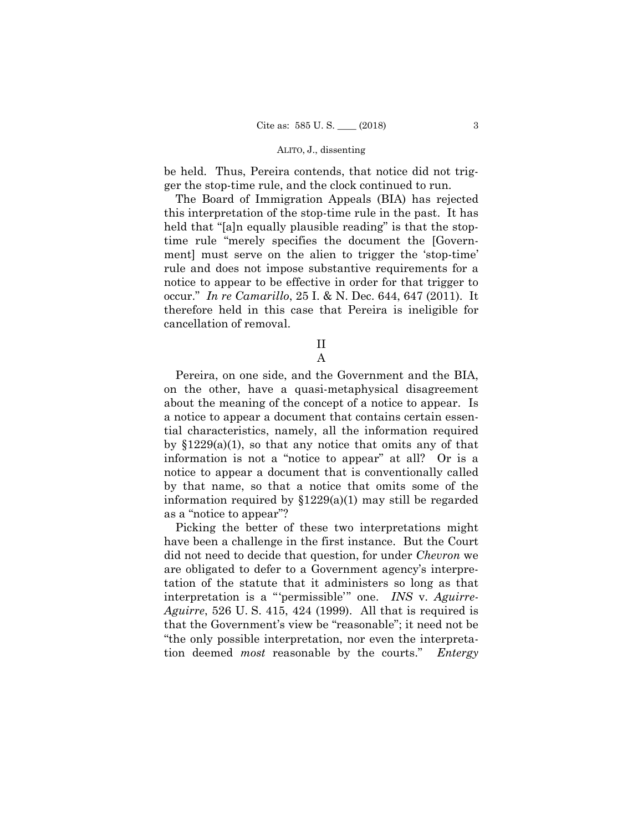be held. Thus, Pereira contends, that notice did not trigger the stop-time rule, and the clock continued to run.

The Board of Immigration Appeals (BIA) has rejected this interpretation of the stop-time rule in the past. It has held that "[a]n equally plausible reading" is that the stoptime rule "merely specifies the document the [Government] must serve on the alien to trigger the 'stop-time' rule and does not impose substantive requirements for a notice to appear to be effective in order for that trigger to occur." *In re Camarillo*, 25 I. & N. Dec. 644, 647 (2011). It therefore held in this case that Pereira is ineligible for cancellation of removal.

> II A

Pereira, on one side, and the Government and the BIA, on the other, have a quasi-metaphysical disagreement about the meaning of the concept of a notice to appear. Is a notice to appear a document that contains certain essential characteristics, namely, all the information required by  $$1229(a)(1)$ , so that any notice that omits any of that information is not a "notice to appear" at all? Or is a notice to appear a document that is conventionally called by that name, so that a notice that omits some of the information required by §1229(a)(1) may still be regarded as a "notice to appear"?

Picking the better of these two interpretations might have been a challenge in the first instance. But the Court did not need to decide that question, for under *Chevron* we are obligated to defer to a Government agency's interpretation of the statute that it administers so long as that interpretation is a "'permissible'" one. *INS* v. *Aguirre-Aguirre*, 526 U. S. 415, 424 (1999). All that is required is that the Government's view be "reasonable"; it need not be "the only possible interpretation, nor even the interpretation deemed *most* reasonable by the courts." *Entergy*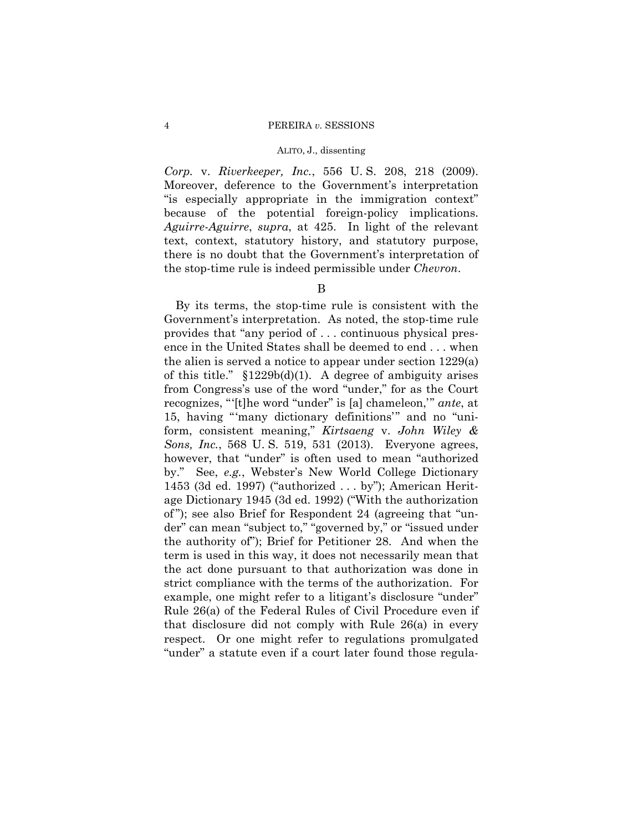*Corp.* v. *Riverkeeper, Inc.*, 556 U. S. 208, 218 (2009). Moreover, deference to the Government's interpretation "is especially appropriate in the immigration context" because of the potential foreign-policy implications. *Aguirre-Aguirre*, *supra*, at 425. In light of the relevant text, context, statutory history, and statutory purpose, there is no doubt that the Government's interpretation of the stop-time rule is indeed permissible under *Chevron*.

B

By its terms, the stop-time rule is consistent with the Government's interpretation. As noted, the stop-time rule provides that "any period of . . . continuous physical presence in the United States shall be deemed to end . . . when the alien is served a notice to appear under section 1229(a) of this title."  $$1229b(d)(1)$ . A degree of ambiguity arises from Congress's use of the word "under," for as the Court recognizes, "'[t]he word "under" is [a] chameleon,'" *ante*, at 15, having "'many dictionary definitions'" and no "uniform, consistent meaning," *Kirtsaeng* v. *John Wiley & Sons, Inc.*, 568 U. S. 519, 531 (2013). Everyone agrees, however, that "under" is often used to mean "authorized by." See, *e.g.*, Webster's New World College Dictionary 1453 (3d ed. 1997) ("authorized . . . by"); American Heritage Dictionary 1945 (3d ed. 1992) ("With the authorization of "); see also Brief for Respondent 24 (agreeing that "under" can mean "subject to," "governed by," or "issued under the authority of"); Brief for Petitioner 28. And when the term is used in this way, it does not necessarily mean that the act done pursuant to that authorization was done in strict compliance with the terms of the authorization. For example, one might refer to a litigant's disclosure "under" Rule 26(a) of the Federal Rules of Civil Procedure even if that disclosure did not comply with Rule 26(a) in every respect. Or one might refer to regulations promulgated "under" a statute even if a court later found those regula-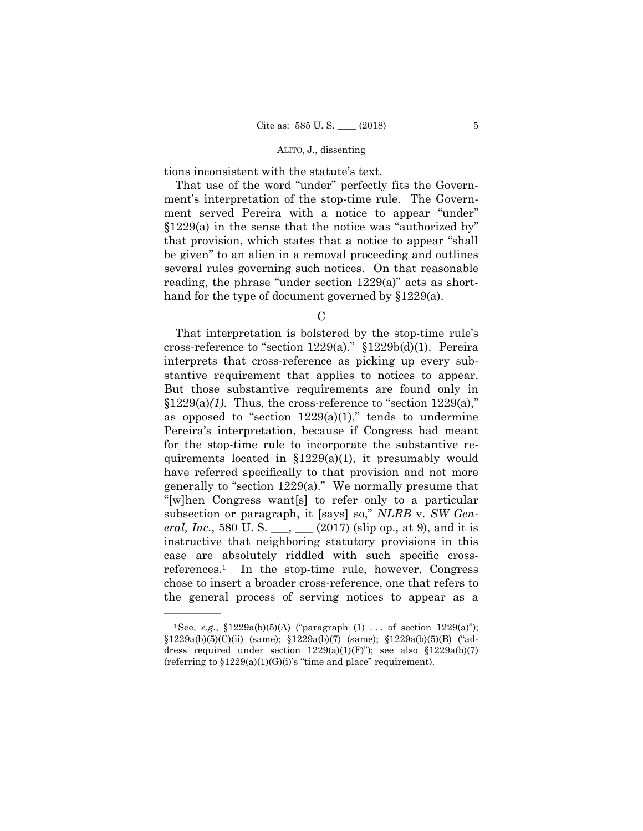tions inconsistent with the statute's text.

That use of the word "under" perfectly fits the Government's interpretation of the stop-time rule. The Government served Pereira with a notice to appear "under" §1229(a) in the sense that the notice was "authorized by" that provision, which states that a notice to appear "shall be given" to an alien in a removal proceeding and outlines several rules governing such notices. On that reasonable reading, the phrase "under section 1229(a)" acts as shorthand for the type of document governed by §1229(a).

C

That interpretation is bolstered by the stop-time rule's cross-reference to "section  $1229(a)$ ." §1229b(d)(1). Pereira interprets that cross-reference as picking up every substantive requirement that applies to notices to appear. But those substantive requirements are found only in  $$1229(a)(1)$ . Thus, the cross-reference to "section  $1229(a)$ ," as opposed to "section  $1229(a)(1)$ ," tends to undermine Pereira's interpretation, because if Congress had meant for the stop-time rule to incorporate the substantive requirements located in §1229(a)(1), it presumably would have referred specifically to that provision and not more generally to "section 1229(a)." We normally presume that "[w]hen Congress want[s] to refer only to a particular subsection or paragraph, it [says] so," *NLRB* v. *SW General, Inc.*, 580 U. S. \_\_\_, \_\_\_ (2017) (slip op., at 9), and it is instructive that neighboring statutory provisions in this case are absolutely riddled with such specific crossreferences.1 In the stop-time rule, however, Congress chose to insert a broader cross-reference, one that refers to the general process of serving notices to appear as a

<sup>&</sup>lt;sup>1</sup>See, *e.g.*,  $$1229a(b)(5)(A)$  ("paragraph (1) . . . of section 1229(a)");  $$1229a(b)(5)(C)(ii)$  (same);  $$1229a(b)(7)$  (same);  $$1229a(b)(5)(B)$  ("address required under section  $1229(a)(1)(F)$ "); see also  $$1229a(b)(7)$ (referring to  $$1229(a)(1)(G)(i)$ 's "time and place" requirement).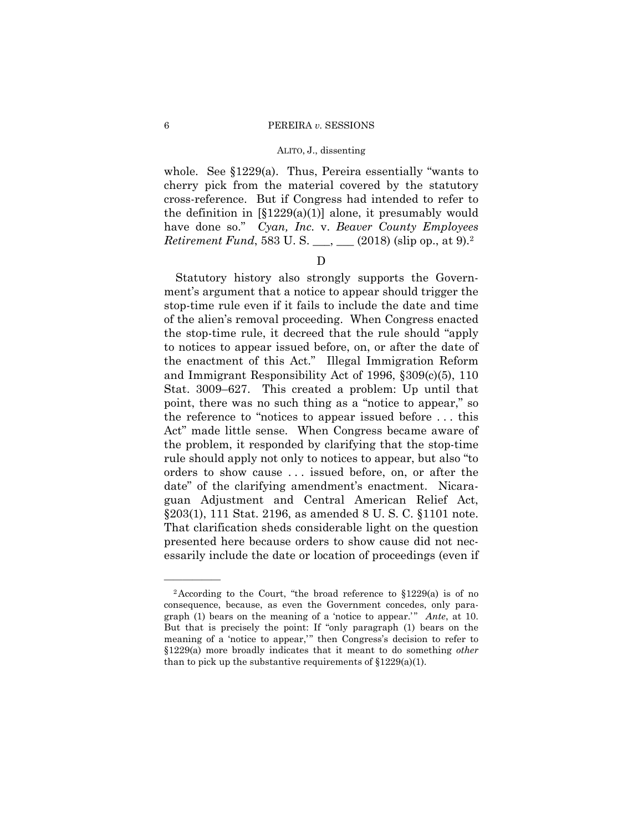whole. See §1229(a). Thus, Pereira essentially "wants to cherry pick from the material covered by the statutory cross-reference. But if Congress had intended to refer to the definition in  $[\S1229(a)(1)]$  alone, it presumably would have done so." *Cyan, Inc.* v. *Beaver County Employees Retirement Fund*, 583 U. S. \_\_\_, \_\_ (2018) (slip op., at 9).<sup>2</sup>

## D

Statutory history also strongly supports the Government's argument that a notice to appear should trigger the stop-time rule even if it fails to include the date and time of the alien's removal proceeding. When Congress enacted the stop-time rule, it decreed that the rule should "apply to notices to appear issued before, on, or after the date of the enactment of this Act." Illegal Immigration Reform and Immigrant Responsibility Act of 1996, §309(c)(5), 110 Stat. 3009–627. This created a problem: Up until that point, there was no such thing as a "notice to appear," so the reference to "notices to appear issued before . . . this Act" made little sense. When Congress became aware of the problem, it responded by clarifying that the stop-time rule should apply not only to notices to appear, but also "to orders to show cause . . . issued before, on, or after the date" of the clarifying amendment's enactment. Nicaraguan Adjustment and Central American Relief Act, §203(1), 111 Stat. 2196, as amended 8 U. S. C. §1101 note. That clarification sheds considerable light on the question presented here because orders to show cause did not necessarily include the date or location of proceedings (even if

<sup>&</sup>lt;sup>2</sup> According to the Court, "the broad reference to  $$1229(a)$  is of no consequence, because, as even the Government concedes, only paragraph (1) bears on the meaning of a 'notice to appear.' " *Ante*, at 10. But that is precisely the point: If "only paragraph (1) bears on the meaning of a 'notice to appear,'" then Congress's decision to refer to §1229(a) more broadly indicates that it meant to do something *other*  than to pick up the substantive requirements of  $$1229(a)(1)$ .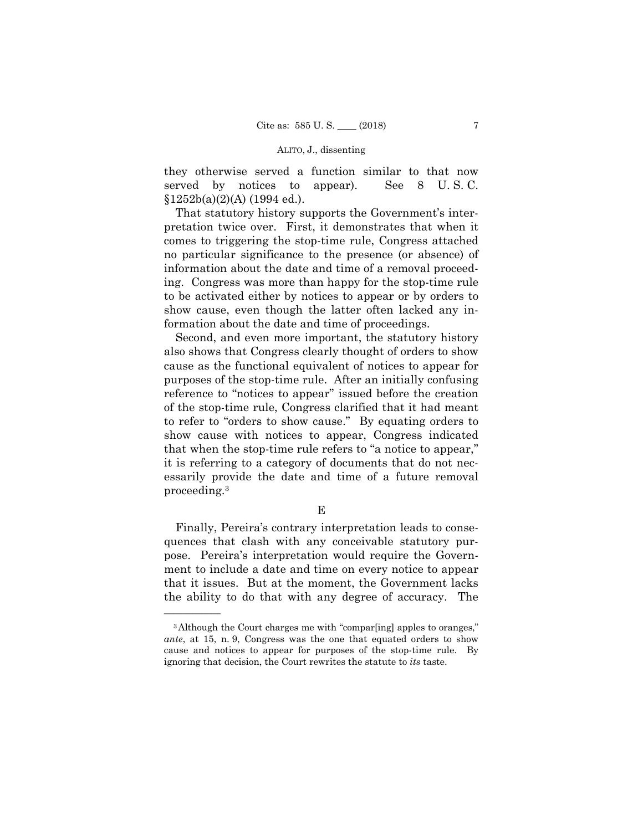they otherwise served a function similar to that now served by notices to appear). See 8 U. S. C.  $$1252b(a)(2)(A)$  (1994 ed.).

That statutory history supports the Government's interpretation twice over. First, it demonstrates that when it comes to triggering the stop-time rule, Congress attached no particular significance to the presence (or absence) of information about the date and time of a removal proceeding. Congress was more than happy for the stop-time rule to be activated either by notices to appear or by orders to show cause, even though the latter often lacked any information about the date and time of proceedings.

Second, and even more important, the statutory history also shows that Congress clearly thought of orders to show cause as the functional equivalent of notices to appear for purposes of the stop-time rule. After an initially confusing reference to "notices to appear" issued before the creation of the stop-time rule, Congress clarified that it had meant to refer to "orders to show cause." By equating orders to show cause with notices to appear, Congress indicated that when the stop-time rule refers to "a notice to appear," it is referring to a category of documents that do not necessarily provide the date and time of a future removal proceeding.3

E

Finally, Pereira's contrary interpretation leads to consequences that clash with any conceivable statutory purpose. Pereira's interpretation would require the Government to include a date and time on every notice to appear that it issues. But at the moment, the Government lacks the ability to do that with any degree of accuracy. The

<sup>3</sup>Although the Court charges me with "compar[ing] apples to oranges," *ante*, at 15, n. 9, Congress was the one that equated orders to show cause and notices to appear for purposes of the stop-time rule. By ignoring that decision, the Court rewrites the statute to *its* taste.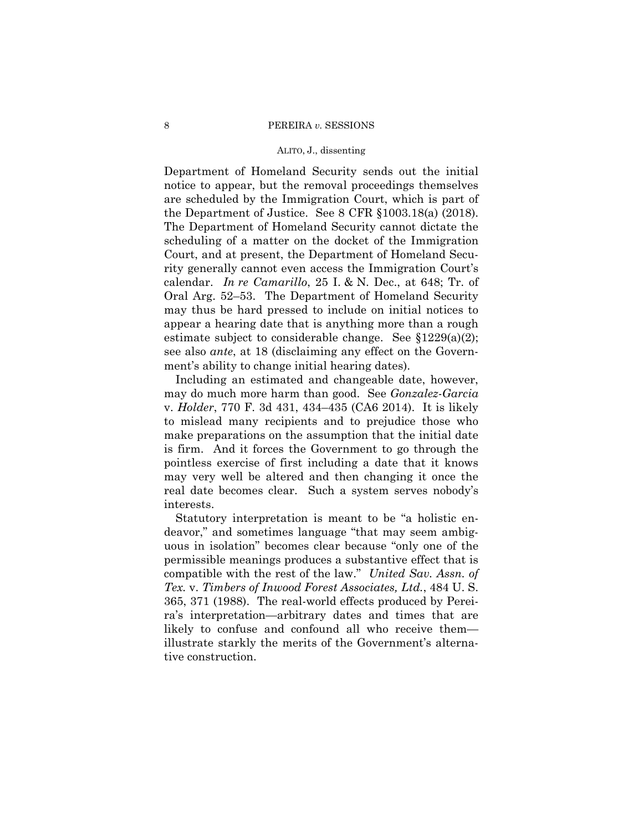#### ALITO, J., dissenting

Department of Homeland Security sends out the initial notice to appear, but the removal proceedings themselves are scheduled by the Immigration Court, which is part of the Department of Justice. See 8 CFR §1003.18(a) (2018). The Department of Homeland Security cannot dictate the scheduling of a matter on the docket of the Immigration Court, and at present, the Department of Homeland Security generally cannot even access the Immigration Court's calendar. *In re Camarillo*, 25 I. & N. Dec., at 648; Tr. of Oral Arg. 52–53. The Department of Homeland Security may thus be hard pressed to include on initial notices to appear a hearing date that is anything more than a rough estimate subject to considerable change. See §1229(a)(2); see also *ante*, at 18 (disclaiming any effect on the Government's ability to change initial hearing dates).

Including an estimated and changeable date, however, may do much more harm than good. See *Gonzalez-Garcia*  v. *Holder*, 770 F. 3d 431, 434–435 (CA6 2014). It is likely to mislead many recipients and to prejudice those who make preparations on the assumption that the initial date is firm. And it forces the Government to go through the pointless exercise of first including a date that it knows may very well be altered and then changing it once the real date becomes clear. Such a system serves nobody's interests.

Statutory interpretation is meant to be "a holistic endeavor," and sometimes language "that may seem ambiguous in isolation" becomes clear because "only one of the permissible meanings produces a substantive effect that is compatible with the rest of the law." *United Sav. Assn. of Tex.* v. *Timbers of Inwood Forest Associates, Ltd.*, 484 U. S. 365, 371 (1988). The real-world effects produced by Pereira's interpretation—arbitrary dates and times that are likely to confuse and confound all who receive them illustrate starkly the merits of the Government's alternative construction.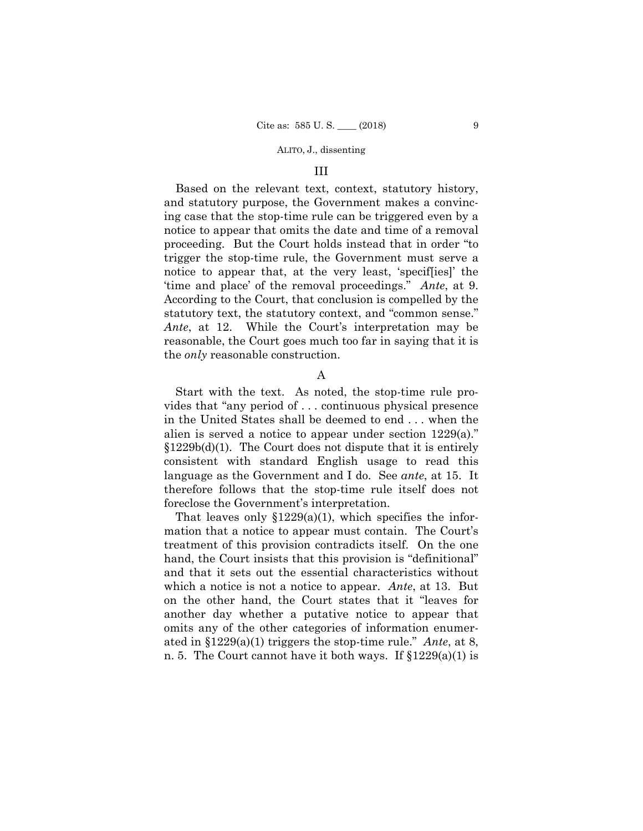#### III

Based on the relevant text, context, statutory history, and statutory purpose, the Government makes a convincing case that the stop-time rule can be triggered even by a notice to appear that omits the date and time of a removal proceeding. But the Court holds instead that in order "to trigger the stop-time rule, the Government must serve a notice to appear that, at the very least, 'specif[ies]' the 'time and place' of the removal proceedings." *Ante*, at 9. According to the Court, that conclusion is compelled by the statutory text, the statutory context, and "common sense." *Ante*, at 12. While the Court's interpretation may be reasonable, the Court goes much too far in saying that it is the *only* reasonable construction.

## A

Start with the text. As noted, the stop-time rule provides that "any period of . . . continuous physical presence in the United States shall be deemed to end . . . when the alien is served a notice to appear under section 1229(a)."  $$1229b(d)(1)$ . The Court does not dispute that it is entirely consistent with standard English usage to read this language as the Government and I do. See *ante*, at 15. It therefore follows that the stop-time rule itself does not foreclose the Government's interpretation.

 ated in §1229(a)(1) triggers the stop-time rule." *Ante*, at 8, That leaves only  $$1229(a)(1)$ , which specifies the information that a notice to appear must contain. The Court's treatment of this provision contradicts itself. On the one hand, the Court insists that this provision is "definitional" and that it sets out the essential characteristics without which a notice is not a notice to appear. *Ante*, at 13. But on the other hand, the Court states that it "leaves for another day whether a putative notice to appear that omits any of the other categories of information enumern. 5. The Court cannot have it both ways. If §1229(a)(1) is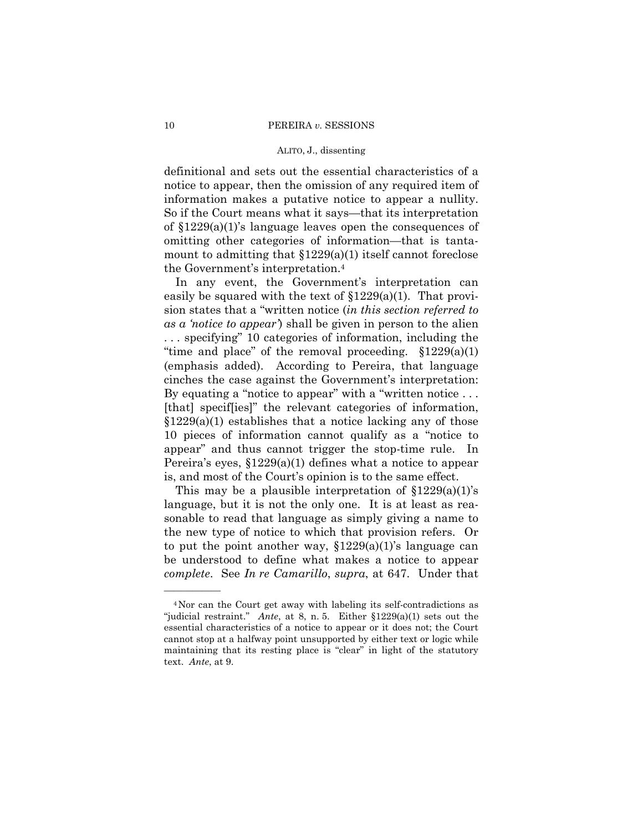definitional and sets out the essential characteristics of a notice to appear, then the omission of any required item of information makes a putative notice to appear a nullity. So if the Court means what it says—that its interpretation of §1229(a)(1)'s language leaves open the consequences of omitting other categories of information—that is tantamount to admitting that  $$1229(a)(1)$  itself cannot foreclose the Government's interpretation.4

In any event, the Government's interpretation can easily be squared with the text of  $$1229(a)(1)$ . That provision states that a "written notice (*in this section referred to as a 'notice to appear'*) shall be given in person to the alien . . . specifying" 10 categories of information, including the "time and place" of the removal proceeding.  $$1229(a)(1)$ (emphasis added). According to Pereira, that language cinches the case against the Government's interpretation: By equating a "notice to appear" with a "written notice ... [that] specif[ies]" the relevant categories of information,  $$1229(a)(1)$  establishes that a notice lacking any of those 10 pieces of information cannot qualify as a "notice to appear" and thus cannot trigger the stop-time rule. In Pereira's eyes, §1229(a)(1) defines what a notice to appear is, and most of the Court's opinion is to the same effect.

This may be a plausible interpretation of  $\S 1229(a)(1)$ 's language, but it is not the only one. It is at least as reasonable to read that language as simply giving a name to the new type of notice to which that provision refers. Or to put the point another way,  $$1229(a)(1)$ 's language can be understood to define what makes a notice to appear *complete*. See *In re Camarillo*, *supra*, at 647. Under that

<sup>4</sup>Nor can the Court get away with labeling its self-contradictions as "judicial restraint." *Ante*, at 8, n. 5. Either §1229(a)(1) sets out the essential characteristics of a notice to appear or it does not; the Court cannot stop at a halfway point unsupported by either text or logic while maintaining that its resting place is "clear" in light of the statutory text. *Ante*, at 9.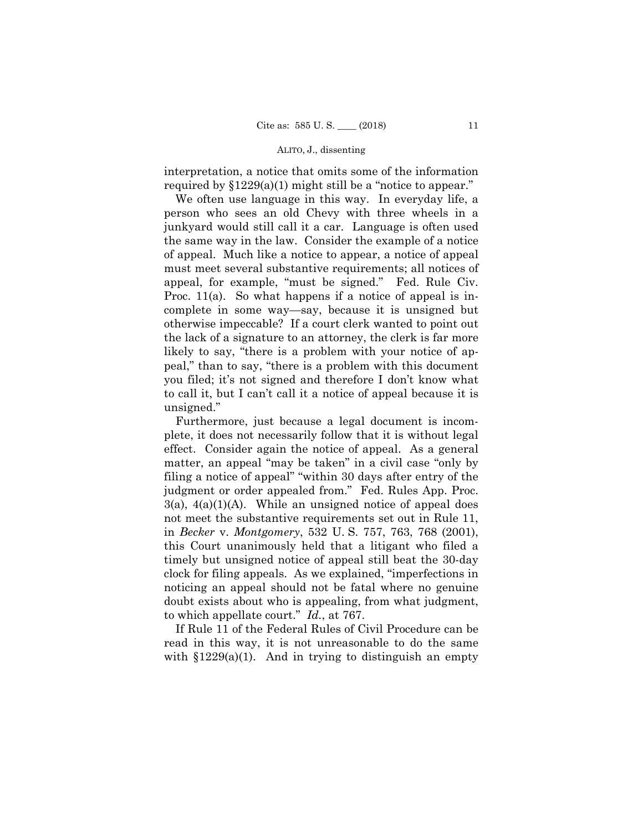interpretation, a notice that omits some of the information required by  $$1229(a)(1)$  might still be a "notice to appear."

We often use language in this way. In everyday life, a person who sees an old Chevy with three wheels in a junkyard would still call it a car. Language is often used the same way in the law. Consider the example of a notice of appeal. Much like a notice to appear, a notice of appeal must meet several substantive requirements; all notices of appeal, for example, "must be signed." Fed. Rule Civ. Proc. 11(a). So what happens if a notice of appeal is incomplete in some way—say, because it is unsigned but otherwise impeccable? If a court clerk wanted to point out the lack of a signature to an attorney, the clerk is far more likely to say, "there is a problem with your notice of appeal," than to say, "there is a problem with this document you filed; it's not signed and therefore I don't know what to call it, but I can't call it a notice of appeal because it is unsigned."

Furthermore, just because a legal document is incomplete, it does not necessarily follow that it is without legal effect. Consider again the notice of appeal. As a general matter, an appeal "may be taken" in a civil case "only by filing a notice of appeal" "within 30 days after entry of the judgment or order appealed from." Fed. Rules App. Proc.  $3(a)$ ,  $4(a)(1)(A)$ . While an unsigned notice of appeal does not meet the substantive requirements set out in Rule 11, in *Becker* v. *Montgomery*, 532 U. S. 757, 763, 768 (2001), this Court unanimously held that a litigant who filed a timely but unsigned notice of appeal still beat the 30-day clock for filing appeals. As we explained, "imperfections in noticing an appeal should not be fatal where no genuine doubt exists about who is appealing, from what judgment, to which appellate court." *Id.*, at 767.

If Rule 11 of the Federal Rules of Civil Procedure can be read in this way, it is not unreasonable to do the same with  $$1229(a)(1)$ . And in trying to distinguish an empty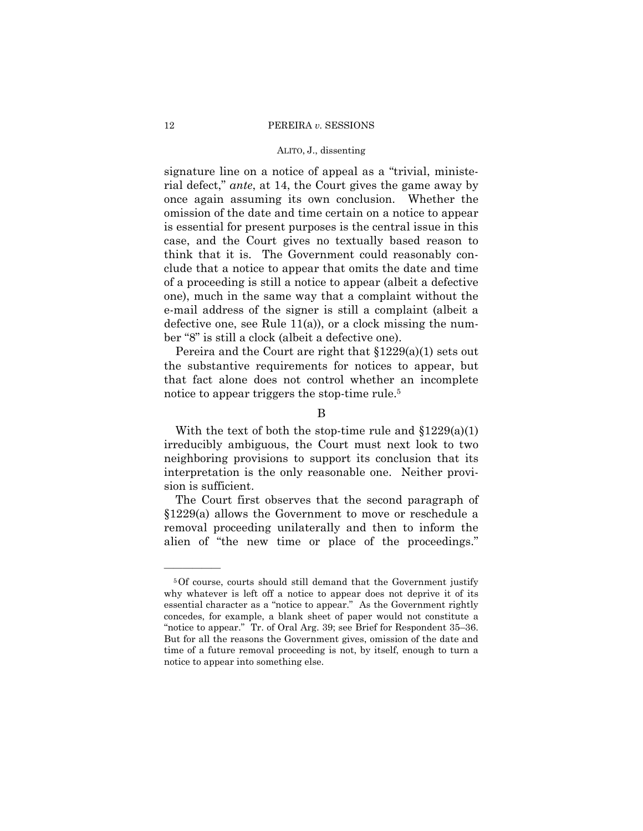signature line on a notice of appeal as a "trivial, ministerial defect," *ante*, at 14, the Court gives the game away by once again assuming its own conclusion. Whether the omission of the date and time certain on a notice to appear is essential for present purposes is the central issue in this case, and the Court gives no textually based reason to think that it is. The Government could reasonably conclude that a notice to appear that omits the date and time of a proceeding is still a notice to appear (albeit a defective one), much in the same way that a complaint without the e-mail address of the signer is still a complaint (albeit a defective one, see Rule 11(a)), or a clock missing the number "8" is still a clock (albeit a defective one).

Pereira and the Court are right that §1229(a)(1) sets out the substantive requirements for notices to appear, but that fact alone does not control whether an incomplete notice to appear triggers the stop-time rule.5

B

With the text of both the stop-time rule and  $$1229(a)(1)$ irreducibly ambiguous, the Court must next look to two neighboring provisions to support its conclusion that its interpretation is the only reasonable one. Neither provision is sufficient.

The Court first observes that the second paragraph of §1229(a) allows the Government to move or reschedule a removal proceeding unilaterally and then to inform the alien of "the new time or place of the proceedings."

 time of a future removal proceeding is not, by itself, enough to turn a 5Of course, courts should still demand that the Government justify why whatever is left off a notice to appear does not deprive it of its essential character as a "notice to appear." As the Government rightly concedes, for example, a blank sheet of paper would not constitute a "notice to appear." Tr. of Oral Arg. 39; see Brief for Respondent 35–36. But for all the reasons the Government gives, omission of the date and notice to appear into something else.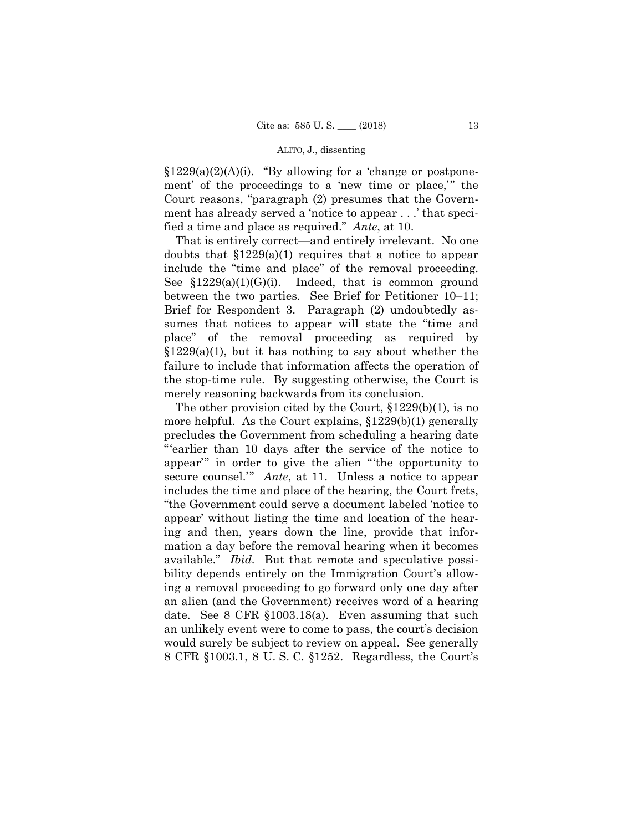$$1229(a)(2)(A)(i)$ . "By allowing for a 'change or postponement' of the proceedings to a 'new time or place,'" the Court reasons, "paragraph (2) presumes that the Government has already served a 'notice to appear . . .' that specified a time and place as required." *Ante*, at 10.

That is entirely correct—and entirely irrelevant. No one doubts that  $$1229(a)(1)$  requires that a notice to appear include the "time and place" of the removal proceeding. See  $$1229(a)(1)(G)(i)$ . Indeed, that is common ground between the two parties. See Brief for Petitioner 10–11; Brief for Respondent 3. Paragraph (2) undoubtedly assumes that notices to appear will state the "time and place" of the removal proceeding as required by  $$1229(a)(1)$ , but it has nothing to say about whether the failure to include that information affects the operation of the stop-time rule. By suggesting otherwise, the Court is merely reasoning backwards from its conclusion.

The other provision cited by the Court, §1229(b)(1), is no more helpful. As the Court explains, §1229(b)(1) generally precludes the Government from scheduling a hearing date "'earlier than 10 days after the service of the notice to appear'" in order to give the alien "'the opportunity to secure counsel.'" *Ante*, at 11. Unless a notice to appear includes the time and place of the hearing, the Court frets, "the Government could serve a document labeled 'notice to appear' without listing the time and location of the hearing and then, years down the line, provide that information a day before the removal hearing when it becomes available." *Ibid.* But that remote and speculative possibility depends entirely on the Immigration Court's allowing a removal proceeding to go forward only one day after an alien (and the Government) receives word of a hearing date. See 8 CFR §1003.18(a). Even assuming that such an unlikely event were to come to pass, the court's decision would surely be subject to review on appeal. See generally 8 CFR §1003.1, 8 U. S. C. §1252. Regardless, the Court's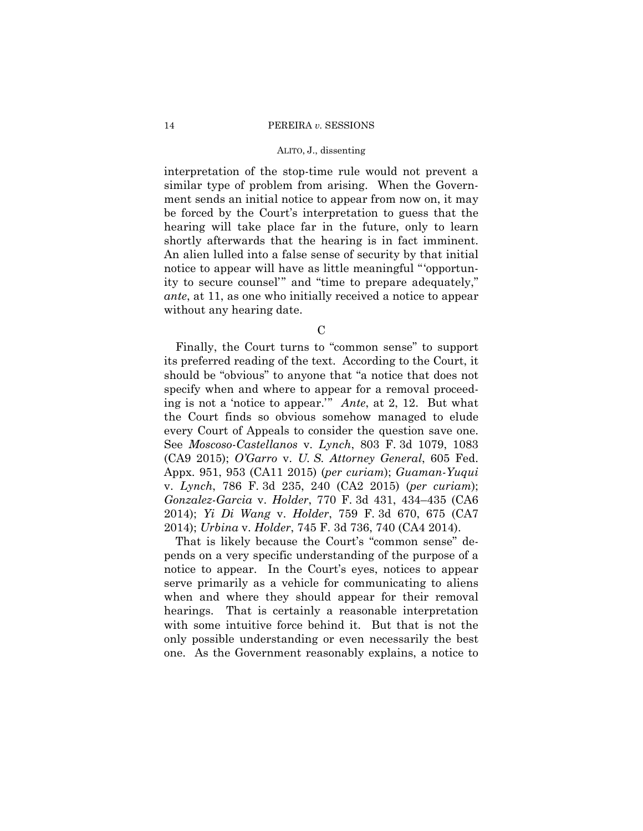#### ALITO, J., dissenting

interpretation of the stop-time rule would not prevent a similar type of problem from arising. When the Government sends an initial notice to appear from now on, it may be forced by the Court's interpretation to guess that the hearing will take place far in the future, only to learn shortly afterwards that the hearing is in fact imminent. An alien lulled into a false sense of security by that initial notice to appear will have as little meaningful "'opportunity to secure counsel'" and "time to prepare adequately," *ante*, at 11, as one who initially received a notice to appear without any hearing date.

C

Finally, the Court turns to "common sense" to support its preferred reading of the text. According to the Court, it should be "obvious" to anyone that "a notice that does not specify when and where to appear for a removal proceeding is not a 'notice to appear.'" *Ante*, at 2, 12. But what the Court finds so obvious somehow managed to elude every Court of Appeals to consider the question save one. See *Moscoso-Castellanos* v. *Lynch*, 803 F. 3d 1079, 1083 (CA9 2015); *O'Garro* v. *U. S. Attorney General*, 605 Fed. Appx. 951, 953 (CA11 2015) (*per curiam*); *Guaman-Yuqui*  v. *Lynch*, 786 F. 3d 235, 240 (CA2 2015) (*per curiam*); *Gonzalez-Garcia* v. *Holder*, 770 F. 3d 431, 434–435 (CA6 2014); *Yi Di Wang* v. *Holder*, 759 F. 3d 670, 675 (CA7 2014); *Urbina* v. *Holder*, 745 F. 3d 736, 740 (CA4 2014).

That is likely because the Court's "common sense" depends on a very specific understanding of the purpose of a notice to appear. In the Court's eyes, notices to appear serve primarily as a vehicle for communicating to aliens when and where they should appear for their removal hearings. That is certainly a reasonable interpretation with some intuitive force behind it. But that is not the only possible understanding or even necessarily the best one. As the Government reasonably explains, a notice to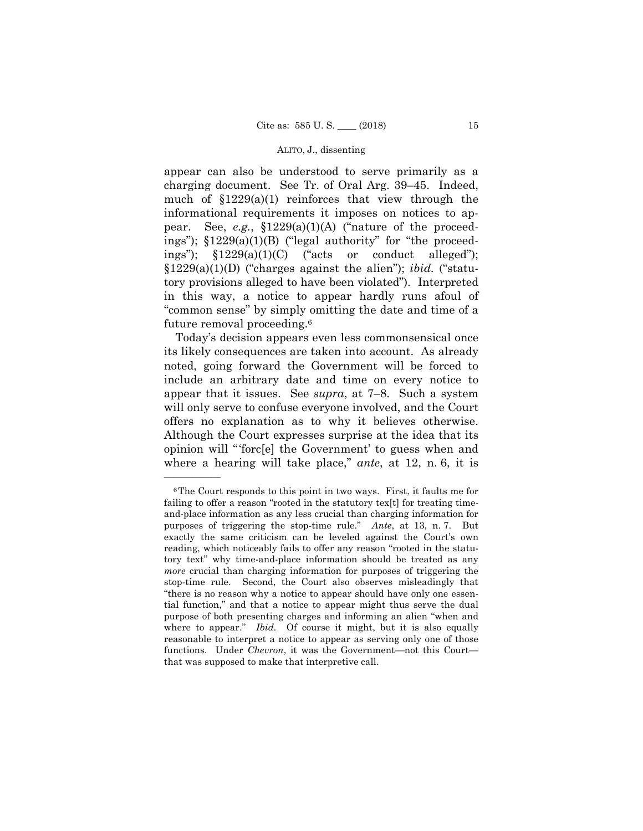appear can also be understood to serve primarily as a charging document. See Tr. of Oral Arg. 39–45. Indeed, much of  $$1229(a)(1)$  reinforces that view through the informational requirements it imposes on notices to appear. See, *e.g.*, §1229(a)(1)(A) ("nature of the proceedings");  $$1229(a)(1)(B)$  ("legal authority" for "the proceedings");  $$1229(a)(1)(C)$  ("acts or conduct alleged"); §1229(a)(1)(D) ("charges against the alien"); *ibid.* ("statutory provisions alleged to have been violated"). Interpreted in this way, a notice to appear hardly runs afoul of "common sense" by simply omitting the date and time of a future removal proceeding.6

 offers no explanation as to why it believes otherwise. Today's decision appears even less commonsensical once its likely consequences are taken into account. As already noted, going forward the Government will be forced to include an arbitrary date and time on every notice to appear that it issues. See *supra*, at 7–8. Such a system will only serve to confuse everyone involved, and the Court Although the Court expresses surprise at the idea that its opinion will "'forc[e] the Government' to guess when and where a hearing will take place," *ante*, at 12, n. 6, it is

 purposes of triggering the stop-time rule." *Ante*, at 13, n. 7. But where to appear." *Ibid.* Of course it might, but it is also equally 6The Court responds to this point in two ways. First, it faults me for failing to offer a reason "rooted in the statutory tex[t] for treating timeand-place information as any less crucial than charging information for exactly the same criticism can be leveled against the Court's own reading, which noticeably fails to offer any reason "rooted in the statutory text" why time-and-place information should be treated as any *more* crucial than charging information for purposes of triggering the stop-time rule. Second, the Court also observes misleadingly that "there is no reason why a notice to appear should have only one essential function," and that a notice to appear might thus serve the dual purpose of both presenting charges and informing an alien "when and reasonable to interpret a notice to appear as serving only one of those functions. Under *Chevron*, it was the Government—not this Court that was supposed to make that interpretive call.